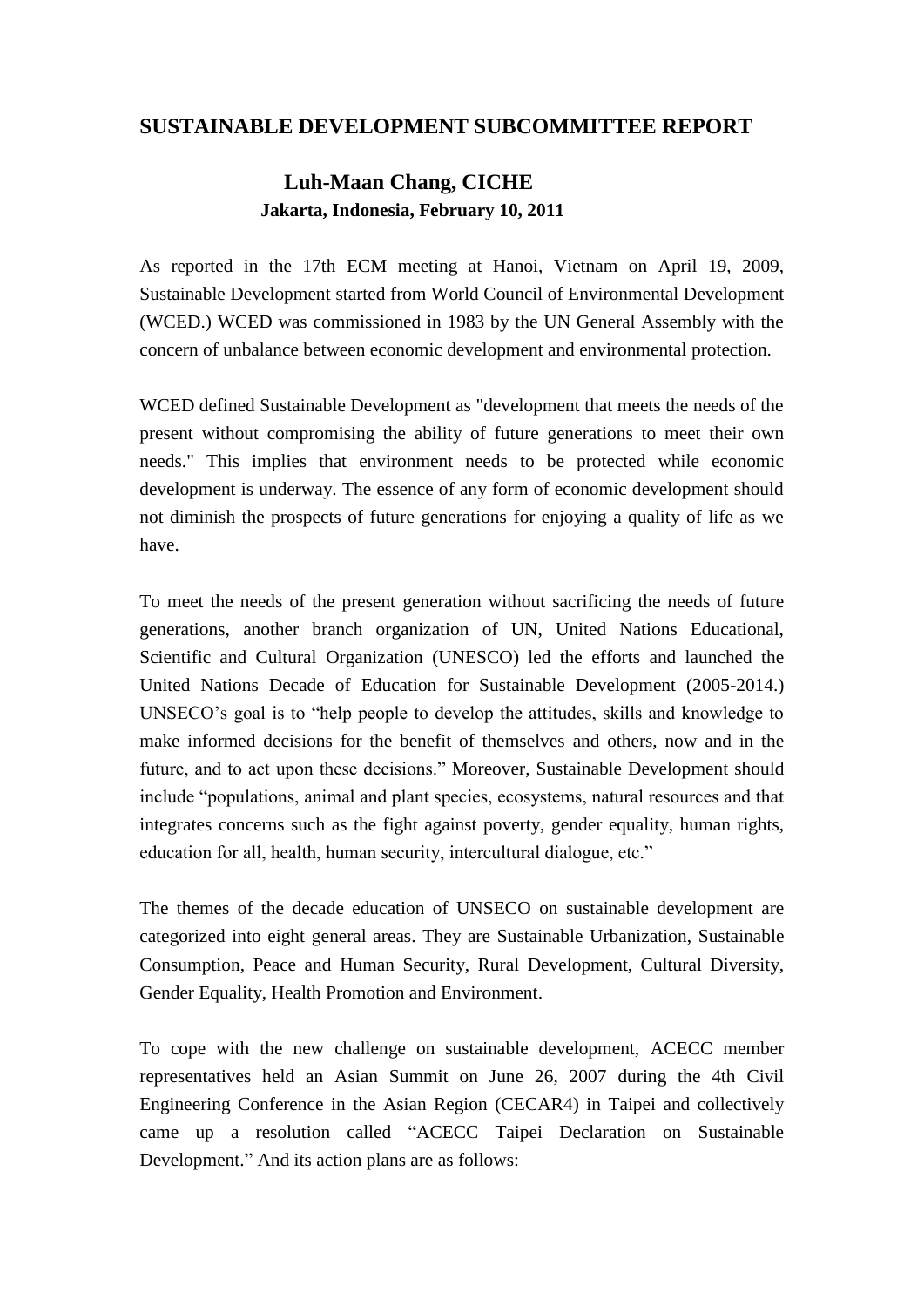# **SUSTAINABLE DEVELOPMENT SUBCOMMITTEE REPORT**

# **Luh-Maan Chang, CICHE Jakarta, Indonesia, February 10, 2011**

As reported in the 17th ECM meeting at Hanoi, Vietnam on April 19, 2009, Sustainable Development started from World Council of Environmental Development (WCED.) WCED was commissioned in 1983 by the UN General Assembly with the concern of unbalance between economic development and environmental protection.

WCED defined Sustainable Development as "development that meets the needs of the present without compromising the ability of future generations to meet their own needs." This implies that environment needs to be protected while economic development is underway. The essence of any form of economic development should not diminish the prospects of future generations for enjoying a quality of life as we have.

To meet the needs of the present generation without sacrificing the needs of future generations, another branch organization of UN, United Nations Educational, Scientific and Cultural Organization (UNESCO) led the efforts and launched the United Nations Decade of Education for Sustainable Development (2005-2014.) UNSECO"s goal is to "help people to develop the attitudes, skills and knowledge to make informed decisions for the benefit of themselves and others, now and in the future, and to act upon these decisions." Moreover, Sustainable Development should include "populations, animal and plant species, ecosystems, natural resources and that integrates concerns such as the fight against poverty, gender equality, human rights, education for all, health, human security, intercultural dialogue, etc."

The themes of the decade education of UNSECO on sustainable development are categorized into eight general areas. They are Sustainable Urbanization, Sustainable Consumption, Peace and Human Security, Rural Development, Cultural Diversity, Gender Equality, Health Promotion and Environment.

To cope with the new challenge on sustainable development, ACECC member representatives held an Asian Summit on June 26, 2007 during the 4th Civil Engineering Conference in the Asian Region (CECAR4) in Taipei and collectively came up a resolution called "ACECC Taipei Declaration on Sustainable Development." And its action plans are as follows: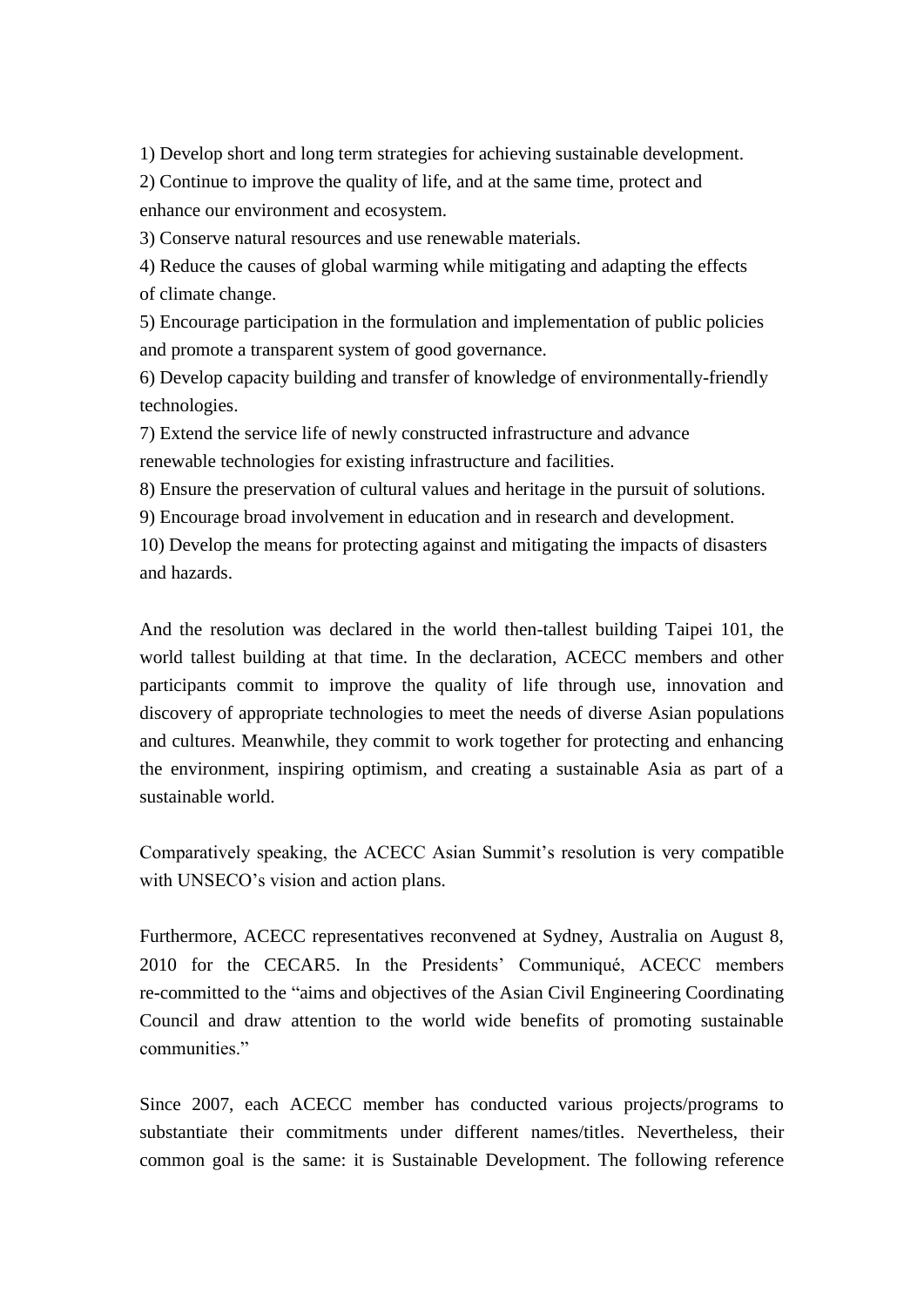1) Develop short and long term strategies for achieving sustainable development.

2) Continue to improve the quality of life, and at the same time, protect and enhance our environment and ecosystem.

3) Conserve natural resources and use renewable materials.

4) Reduce the causes of global warming while mitigating and adapting the effects of climate change.

5) Encourage participation in the formulation and implementation of public policies and promote a transparent system of good governance.

6) Develop capacity building and transfer of knowledge of environmentally-friendly technologies.

7) Extend the service life of newly constructed infrastructure and advance renewable technologies for existing infrastructure and facilities.

8) Ensure the preservation of cultural values and heritage in the pursuit of solutions.

9) Encourage broad involvement in education and in research and development.

10) Develop the means for protecting against and mitigating the impacts of disasters and hazards.

And the resolution was declared in the world then-tallest building Taipei 101, the world tallest building at that time. In the declaration, ACECC members and other participants commit to improve the quality of life through use, innovation and discovery of appropriate technologies to meet the needs of diverse Asian populations and cultures. Meanwhile, they commit to work together for protecting and enhancing the environment, inspiring optimism, and creating a sustainable Asia as part of a sustainable world.

Comparatively speaking, the ACECC Asian Summit"s resolution is very compatible with UNSECO's vision and action plans.

Furthermore, ACECC representatives reconvened at Sydney, Australia on August 8, 2010 for the CECAR5. In the Presidents" Communiqué, ACECC members re-committed to the "aims and objectives of the Asian Civil Engineering Coordinating Council and draw attention to the world wide benefits of promoting sustainable communities."

Since 2007, each ACECC member has conducted various projects/programs to substantiate their commitments under different names/titles. Nevertheless, their common goal is the same: it is Sustainable Development. The following reference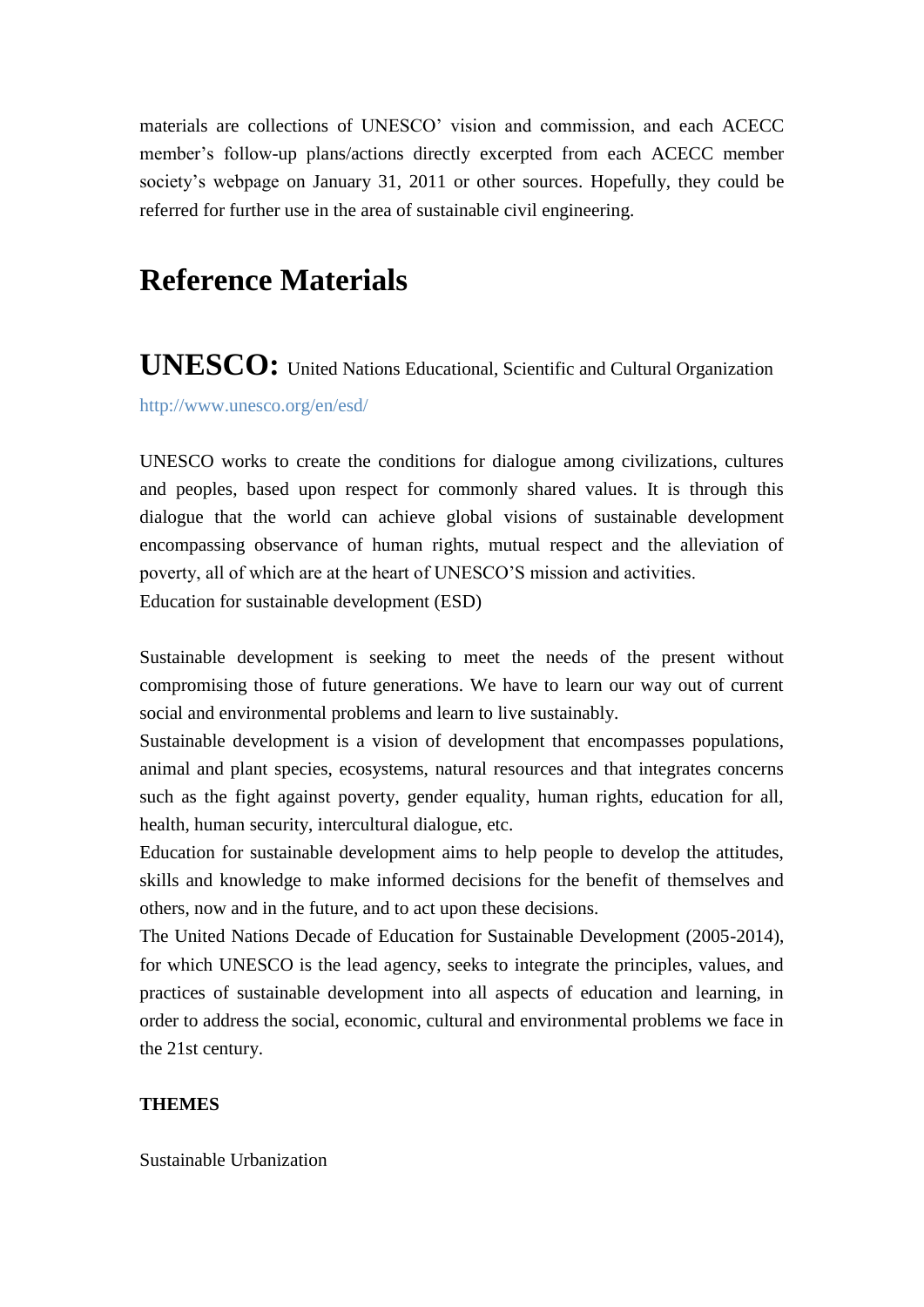materials are collections of UNESCO" vision and commission, and each ACECC member"s follow-up plans/actions directly excerpted from each ACECC member society's webpage on January 31, 2011 or other sources. Hopefully, they could be referred for further use in the area of sustainable civil engineering.

# **Reference Materials**

**UNESCO:** United Nations Educational, Scientific and Cultural Organization <http://www.unesco.org/en/esd/>

UNESCO works to create the conditions for dialogue among civilizations, cultures and peoples, based upon respect for commonly shared values. It is through this dialogue that the world can achieve global visions of sustainable development encompassing observance of human rights, mutual respect and the alleviation of poverty, all of which are at the heart of UNESCO"S mission and activities. Education for sustainable development (ESD)

Sustainable development is seeking to meet the needs of the present without compromising those of future generations. We have to learn our way out of current social and environmental problems and learn to live sustainably.

Sustainable development is a vision of development that encompasses populations, animal and plant species, ecosystems, natural resources and that integrates concerns such as the fight against poverty, gender equality, human rights, education for all, health, human security, intercultural dialogue, etc.

Education for sustainable development aims to help people to develop the attitudes, skills and knowledge to make informed decisions for the benefit of themselves and others, now and in the future, and to act upon these decisions.

The United Nations Decade of Education for Sustainable Development (2005-2014), for which UNESCO is the lead agency, seeks to integrate the principles, values, and practices of sustainable development into all aspects of education and learning, in order to address the social, economic, cultural and environmental problems we face in the 21st century.

### **THEMES**

Sustainable Urbanization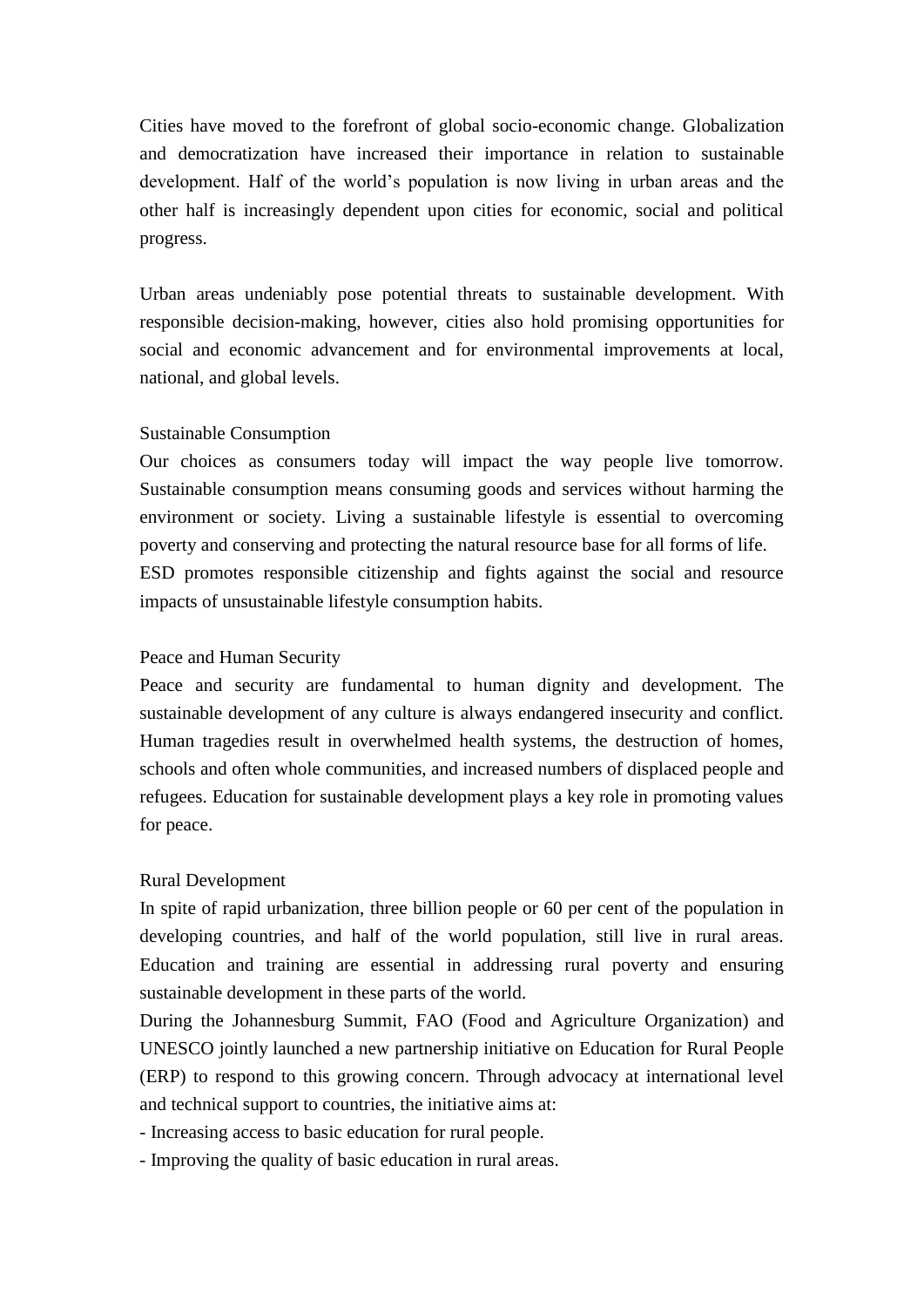Cities have moved to the forefront of global socio-economic change. Globalization and democratization have increased their importance in relation to sustainable development. Half of the world"s population is now living in urban areas and the other half is increasingly dependent upon cities for economic, social and political progress.

Urban areas undeniably pose potential threats to sustainable development. With responsible decision-making, however, cities also hold promising opportunities for social and economic advancement and for environmental improvements at local, national, and global levels.

### Sustainable Consumption

Our choices as consumers today will impact the way people live tomorrow. Sustainable consumption means consuming goods and services without harming the environment or society. Living a sustainable lifestyle is essential to overcoming poverty and conserving and protecting the natural resource base for all forms of life. ESD promotes responsible citizenship and fights against the social and resource impacts of unsustainable lifestyle consumption habits.

### Peace and Human Security

Peace and security are fundamental to human dignity and development. The sustainable development of any culture is always endangered insecurity and conflict. Human tragedies result in overwhelmed health systems, the destruction of homes, schools and often whole communities, and increased numbers of displaced people and refugees. Education for sustainable development plays a key role in promoting values for peace.

### Rural Development

In spite of rapid urbanization, three billion people or 60 per cent of the population in developing countries, and half of the world population, still live in rural areas. Education and training are essential in addressing rural poverty and ensuring sustainable development in these parts of the world.

During the Johannesburg Summit, FAO (Food and Agriculture Organization) and UNESCO jointly launched a new partnership initiative on [Education for Rural People](http://www.fao.org/sd/erp/)  [\(ERP\)](http://www.fao.org/sd/erp/) to respond to this growing concern. Through advocacy at international level and technical support to countries, the initiative aims at:

- Increasing access to basic education for rural people.

- Improving the quality of basic education in rural areas.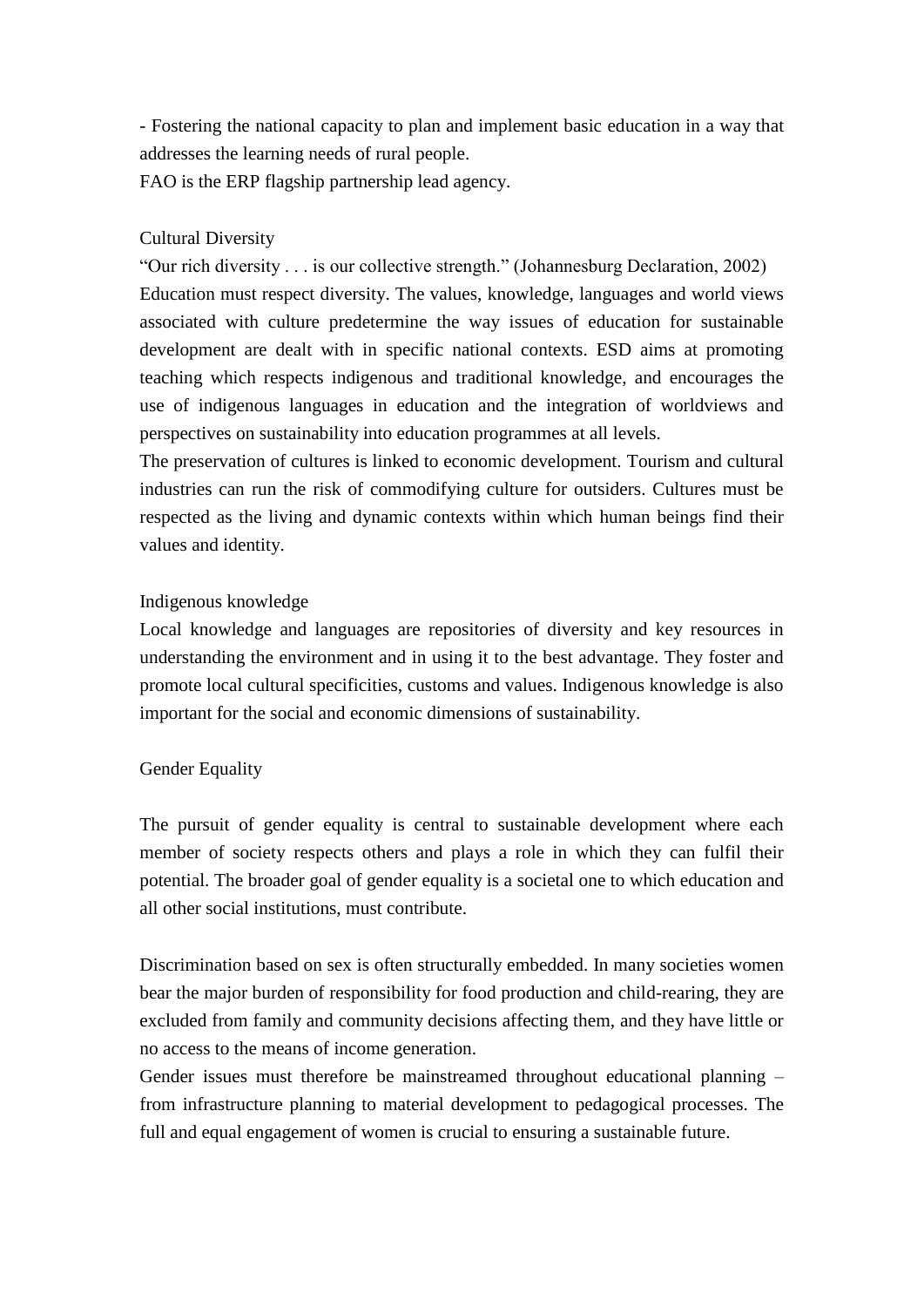- Fostering the national capacity to plan and implement basic education in a way that addresses the learning needs of rural people.

FAO is the ERP flagship partnership lead agency.

# Cultural Diversity

"Our rich diversity . . . is our collective strength." (Johannesburg Declaration, 2002) Education must respect diversity. The values, knowledge, languages and world views associated with culture predetermine the way issues of education for sustainable development are dealt with in specific national contexts. ESD aims at promoting teaching which respects indigenous and traditional knowledge, and encourages the use of indigenous languages in education and the integration of worldviews and perspectives on sustainability into education programmes at all levels.

The preservation of cultures is linked to economic development. Tourism and cultural industries can run the risk of commodifying culture for outsiders. Cultures must be respected as the living and dynamic contexts within which human beings find their values and identity.

# Indigenous knowledge

Local knowledge and languages are repositories of diversity and key resources in understanding the environment and in using it to the best advantage. They foster and promote local cultural specificities, customs and values. Indigenous knowledge is also important for the social and economic dimensions of sustainability.

# Gender Equality

The pursuit of gender equality is central to sustainable development where each member of society respects others and plays a role in which they can fulfil their potential. The broader goal of gender equality is a societal one to which education and all other social institutions, must contribute.

Discrimination based on sex is often structurally embedded. In many societies women bear the major burden of responsibility for food production and child-rearing, they are excluded from family and community decisions affecting them, and they have little or no access to the means of income generation.

Gender issues must therefore be mainstreamed throughout educational planning – from infrastructure planning to material development to pedagogical processes. The full and equal engagement of women is crucial to ensuring a sustainable future.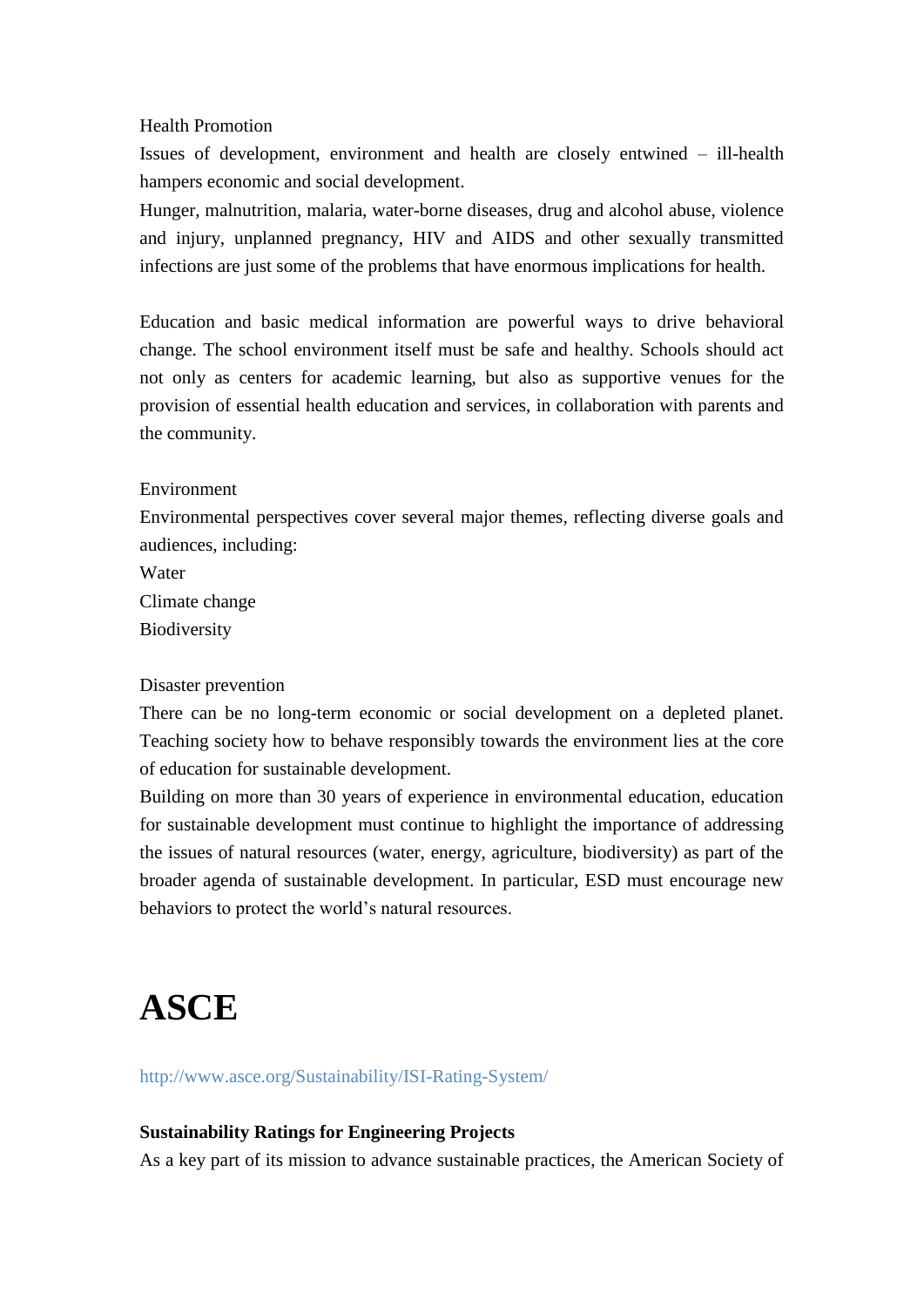### Health Promotion

Issues of development, environment and health are closely entwined – ill-health hampers economic and social development.

Hunger, malnutrition, malaria, water-borne diseases, drug and alcohol abuse, violence and injury, unplanned pregnancy, HIV and AIDS and other sexually transmitted infections are just some of the problems that have enormous implications for health.

Education and basic medical information are powerful ways to drive behavioral change. The school environment itself must be safe and healthy. Schools should act not only as centers for academic learning, but also as supportive venues for the provision of essential health education and services, in collaboration with parents and the community.

### Environment

Environmental perspectives cover several major themes, reflecting diverse goals and audiences, including:

[Water](http://www.unesco.org/en/education-for-sustainable-development/themes/environment/water/) [Climate change](http://www.unesco.org/en/education-for-sustainable-development/themes/environment/climate-change/) [Biodiversity](http://www.unesco.org/en/education-for-sustainable-development/themes/environment/biodiversity/)

#### [Disaster prevention](http://www.unesco.org/en/education-for-sustainable-development/themes/environment/disaster-prevention/)

There can be no long-term economic or social development on a depleted planet. Teaching society how to behave responsibly towards the environment lies at the core of education for sustainable development.

Building on more than 30 years of experience in environmental education, education for sustainable development must continue to highlight the importance of addressing the issues of natural resources (water, energy, agriculture, biodiversity) as part of the broader agenda of sustainable development. In particular, ESD must encourage new behaviors to protect the world"s natural resources.

# **ASCE**

<http://www.asce.org/Sustainability/ISI-Rating-System/>

### **Sustainability Ratings for Engineering Projects**

As a key part of its mission to advance sustainable practices, the American Society of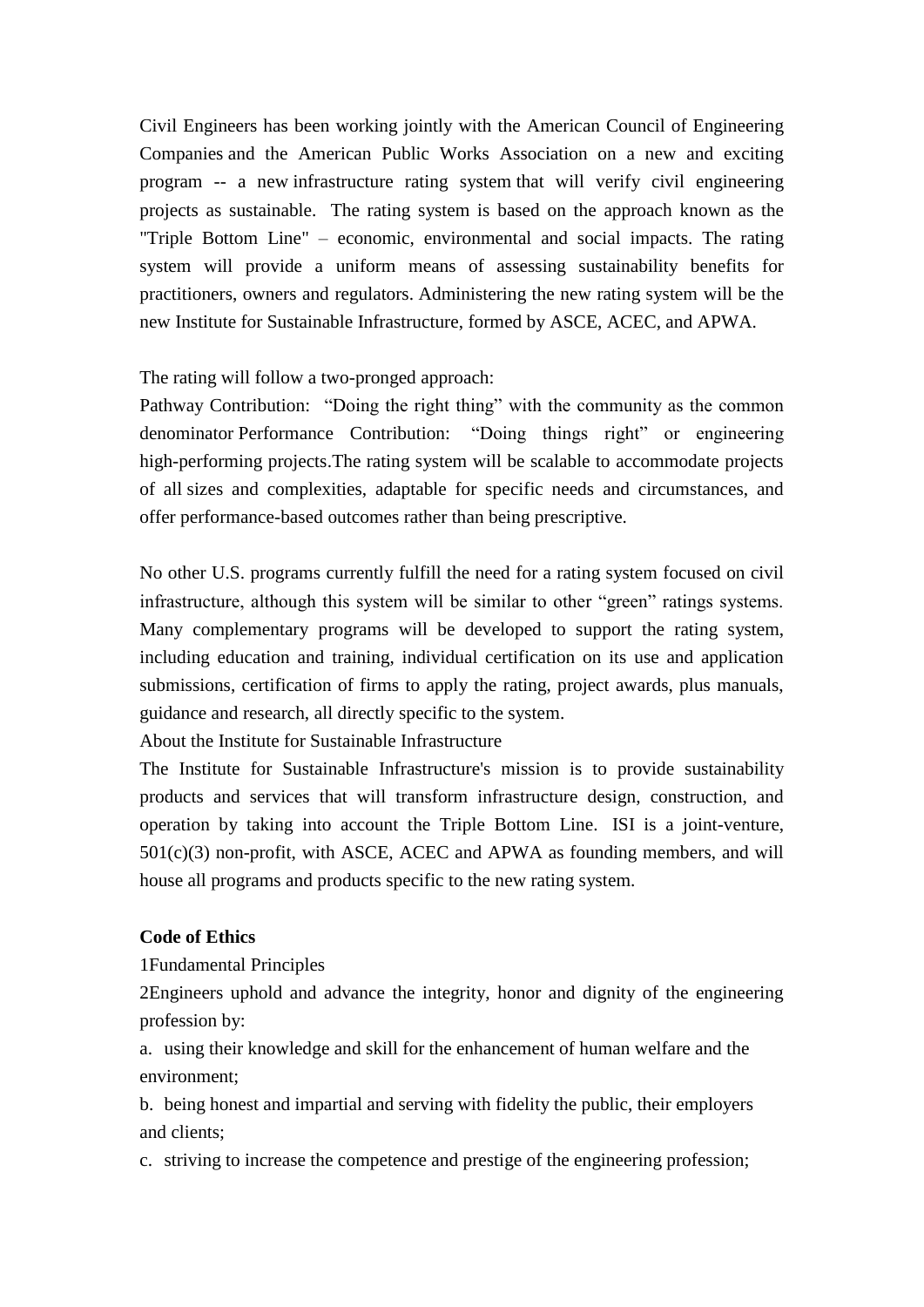Civil Engineers has been working jointly with the American Council of Engineering Companies and the American Public Works Association on a new and exciting program -- a new infrastructure rating system that will verify civil engineering projects as sustainable. The rating system is based on the approach known as the "Triple Bottom Line" – economic, environmental and social impacts. The rating system will provide a uniform means of assessing sustainability benefits for practitioners, owners and regulators. Administering the new rating system will be the new Institute for Sustainable Infrastructure, formed by ASCE, ACEC, and APWA.

The rating will follow a two-pronged approach:

Pathway Contribution: "Doing the right thing" with the community as the common denominator Performance Contribution: "Doing things right" or engineering high-performing projects.The rating system will be scalable to accommodate projects of all sizes and complexities, adaptable for specific needs and circumstances, and offer performance-based outcomes rather than being prescriptive.

No other U.S. programs currently fulfill the need for a rating system focused on civil infrastructure, although this system will be similar to other "green" ratings systems. Many complementary programs will be developed to support the rating system, including education and training, individual certification on its use and application submissions, certification of firms to apply the rating, project awards, plus manuals, guidance and research, all directly specific to the system.

About the Institute for Sustainable Infrastructure

The Institute for Sustainable Infrastructure's mission is to provide sustainability products and services that will transform infrastructure design, construction, and operation by taking into account the Triple Bottom Line. ISI is a joint-venture,  $501(c)(3)$  non-profit, with ASCE, ACEC and APWA as founding members, and will house all programs and products specific to the new rating system.

# **Code of Ethics**

[1F](http://www.asce.org/Content.aspx?id=7231#note_1)undamental Principles

[2E](http://www.asce.org/Content.aspx?id=7231#note_2)ngineers uphold and advance the integrity, honor and dignity of the engineering profession by:

a. using their knowledge and skill for the enhancement of human welfare and the environment;

b. being honest and impartial and serving with fidelity the public, their employers and clients;

c. striving to increase the competence and prestige of the engineering profession;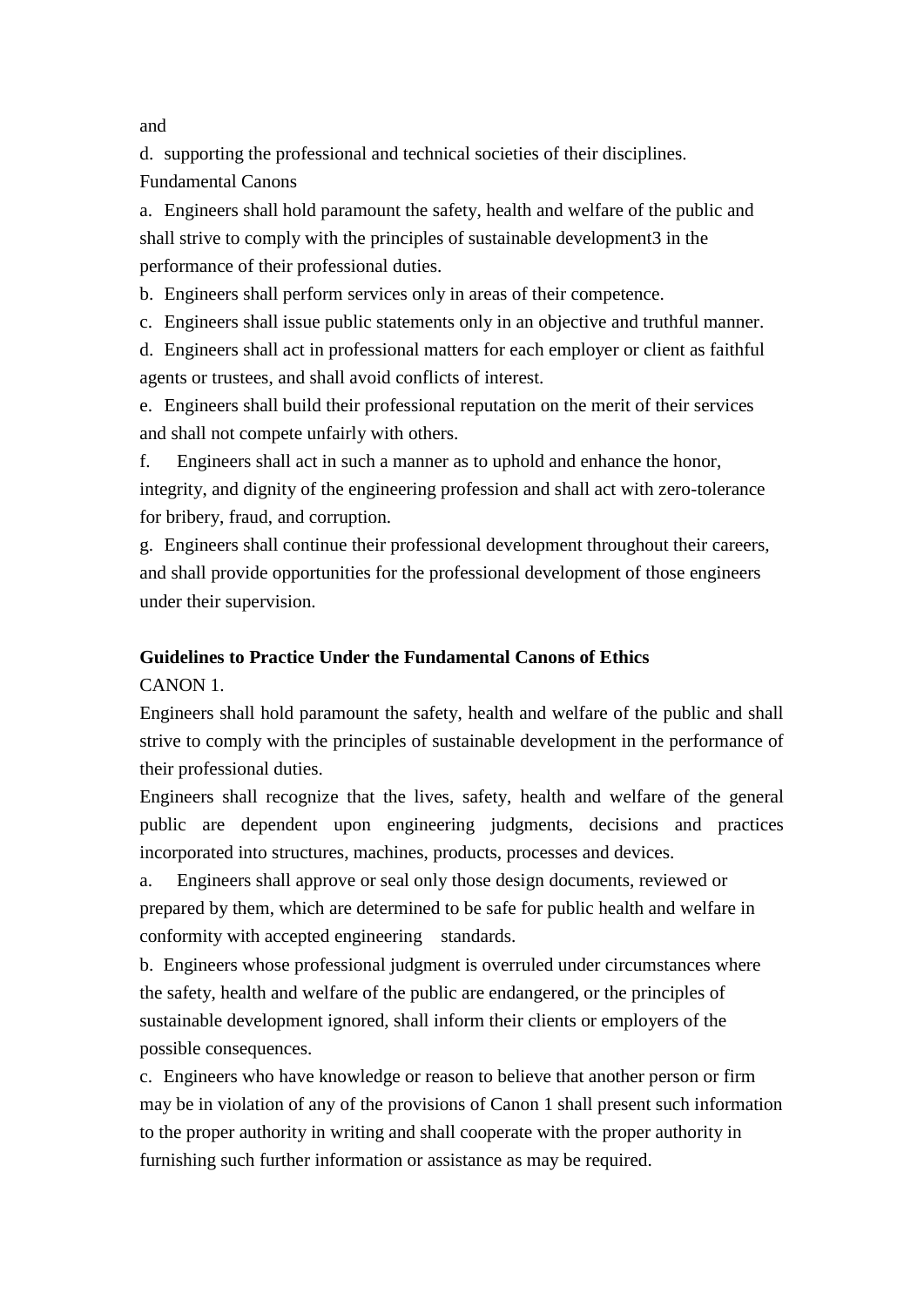and

d. supporting the professional and technical societies of their disciplines. Fundamental Canons

a. Engineers shall hold paramount the safety, health and welfare of the public and shall strive to comply with the principles of sustainable developmen[t3](http://www.asce.org/Content.aspx?id=7231#note_3) in the performance of their professional duties.

b. Engineers shall perform services only in areas of their competence.

c. Engineers shall issue public statements only in an objective and truthful manner.

d. Engineers shall act in professional matters for each employer or client as faithful agents or trustees, and shall avoid conflicts of interest.

e. Engineers shall build their professional reputation on the merit of their services and shall not compete unfairly with others.

f. Engineers shall act in such a manner as to uphold and enhance the honor, integrity, and dignity of the engineering profession and shall act with zero-tolerance for bribery, fraud, and corruption.

g. Engineers shall continue their professional development throughout their careers, and shall provide opportunities for the professional development of those engineers under their supervision.

# **Guidelines to Practice Under the Fundamental Canons of Ethics**

CANON 1.

Engineers shall hold paramount the safety, health and welfare of the public and shall strive to comply with the principles of sustainable development in the performance of their professional duties.

Engineers shall recognize that the lives, safety, health and welfare of the general public are dependent upon engineering judgments, decisions and practices incorporated into structures, machines, products, processes and devices.

a. Engineers shall approve or seal only those design documents, reviewed or prepared by them, which are determined to be safe for public health and welfare in conformity with accepted engineering standards.

b. Engineers whose professional judgment is overruled under circumstances where the safety, health and welfare of the public are endangered, or the principles of sustainable development ignored, shall inform their clients or employers of the possible consequences.

c. Engineers who have knowledge or reason to believe that another person or firm may be in violation of any of the provisions of Canon 1 shall present such information to the proper authority in writing and shall cooperate with the proper authority in furnishing such further information or assistance as may be required.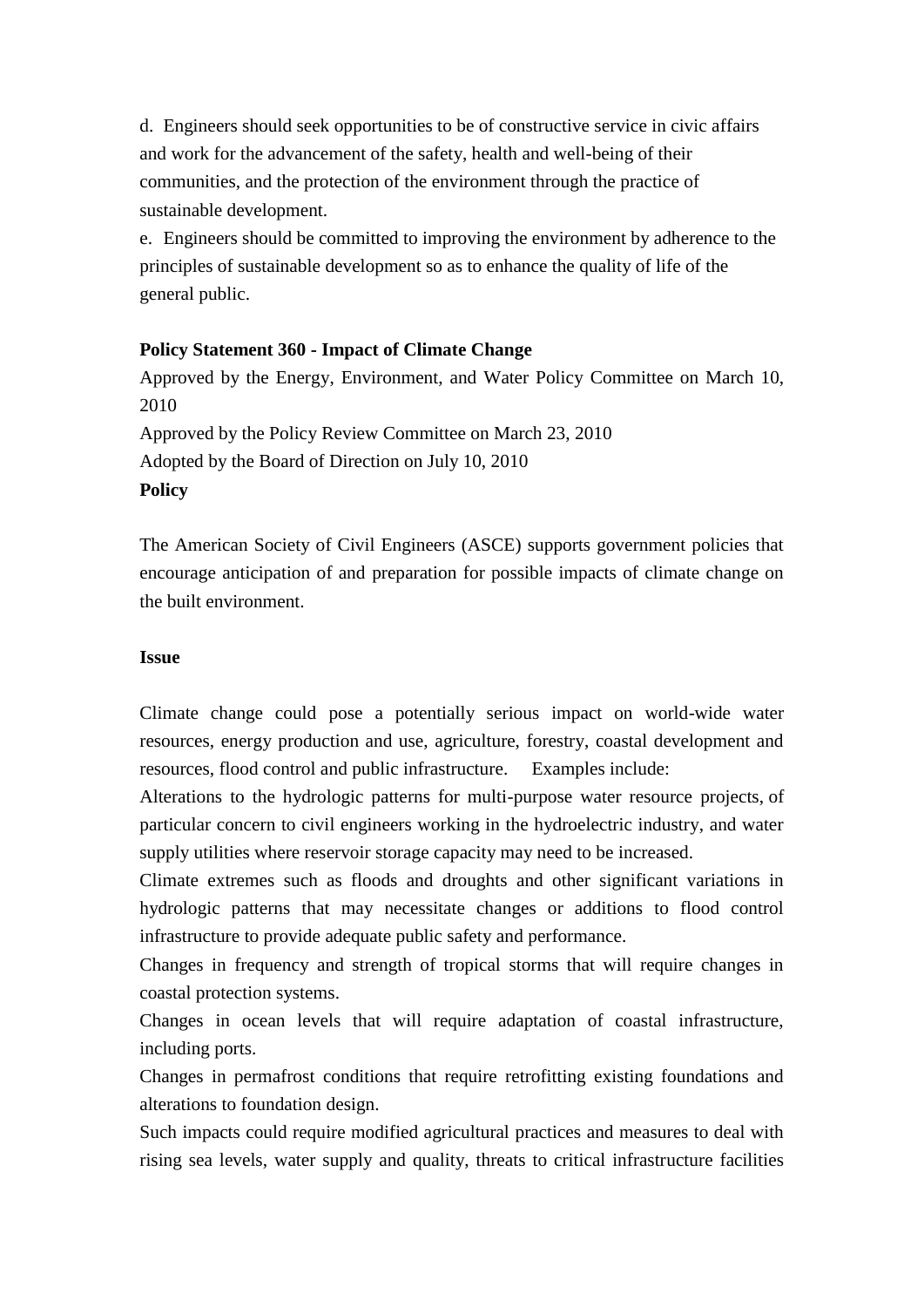d. Engineers should seek opportunities to be of constructive service in civic affairs and work for the advancement of the safety, health and well-being of their communities, and the protection of the environment through the practice of sustainable development.

e. Engineers should be committed to improving the environment by adherence to the principles of sustainable development so as to enhance the quality of life of the general public.

### **Policy Statement 360 - Impact of Climate Change**

Approved by the Energy, Environment, and Water Policy Committee on March 10, 2010 Approved by the Policy Review Committee on March 23, 2010 Adopted by the Board of Direction on July 10, 2010 **Policy**

The American Society of Civil Engineers (ASCE) supports government policies that encourage anticipation of and preparation for possible impacts of climate change on the built environment.

# **Issue**

Climate change could pose a potentially serious impact on world-wide water resources, energy production and use, agriculture, forestry, coastal development and resources, flood control and public infrastructure. Examples include:

Alterations to the hydrologic patterns for multi-purpose water resource projects, of particular concern to civil engineers working in the hydroelectric industry, and water supply utilities where reservoir storage capacity may need to be increased.

Climate extremes such as floods and droughts and other significant variations in hydrologic patterns that may necessitate changes or additions to flood control infrastructure to provide adequate public safety and performance.

Changes in frequency and strength of tropical storms that will require changes in coastal protection systems.

Changes in ocean levels that will require adaptation of coastal infrastructure, including ports.

Changes in permafrost conditions that require retrofitting existing foundations and alterations to foundation design.

Such impacts could require modified agricultural practices and measures to deal with rising sea levels, water supply and quality, threats to critical infrastructure facilities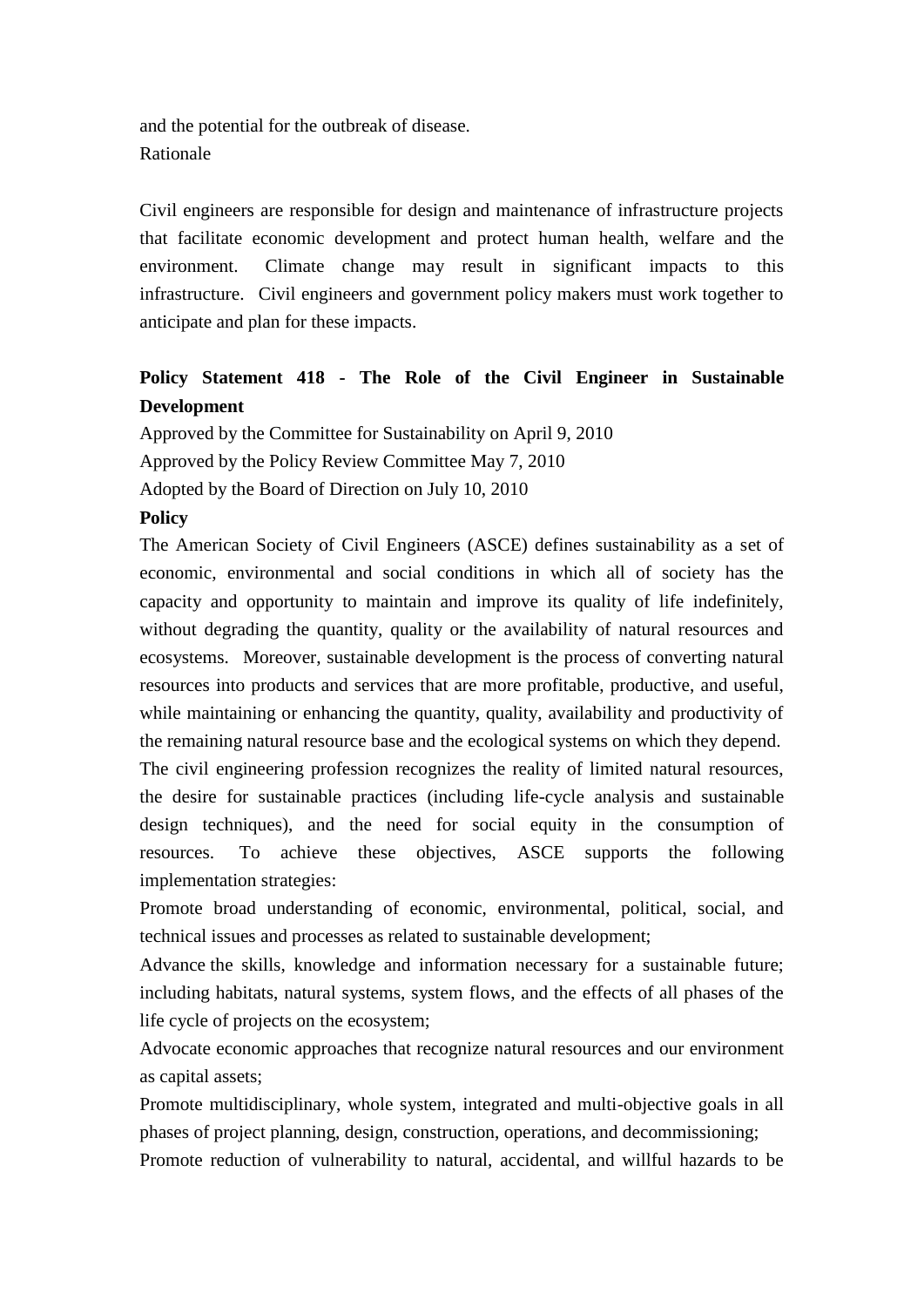and the potential for the outbreak of disease. Rationale

Civil engineers are responsible for design and maintenance of infrastructure projects that facilitate economic development and protect human health, welfare and the environment. Climate change may result in significant impacts to this infrastructure. Civil engineers and government policy makers must work together to anticipate and plan for these impacts.

# **Policy Statement 418 - The Role of the Civil Engineer in Sustainable Development**

Approved by the Committee for Sustainability on April 9, 2010 Approved by the Policy Review Committee May 7, 2010 Adopted by the Board of Direction on July 10, 2010

# **Policy**

The American Society of Civil Engineers (ASCE) defines sustainability as a set of economic, environmental and social conditions in which all of society has the capacity and opportunity to maintain and improve its quality of life indefinitely, without degrading the quantity, quality or the availability of natural resources and ecosystems. Moreover, sustainable development is the process of converting natural resources into products and services that are more profitable, productive, and useful, while maintaining or enhancing the quantity, quality, availability and productivity of the remaining natural resource base and the ecological systems on which they depend. The civil engineering profession recognizes the reality of limited natural resources, the desire for sustainable practices (including life-cycle analysis and sustainable design techniques), and the need for social equity in the consumption of resources. To achieve these objectives, ASCE supports the following implementation strategies:

Promote broad understanding of economic, environmental, political, social, and technical issues and processes as related to sustainable development;

Advance the skills, knowledge and information necessary for a sustainable future; including habitats, natural systems, system flows, and the effects of all phases of the life cycle of projects on the ecosystem;

Advocate economic approaches that recognize natural resources and our environment as capital assets;

Promote multidisciplinary, whole system, integrated and multi-objective goals in all phases of project planning, design, construction, operations, and decommissioning; Promote reduction of vulnerability to natural, accidental, and willful hazards to be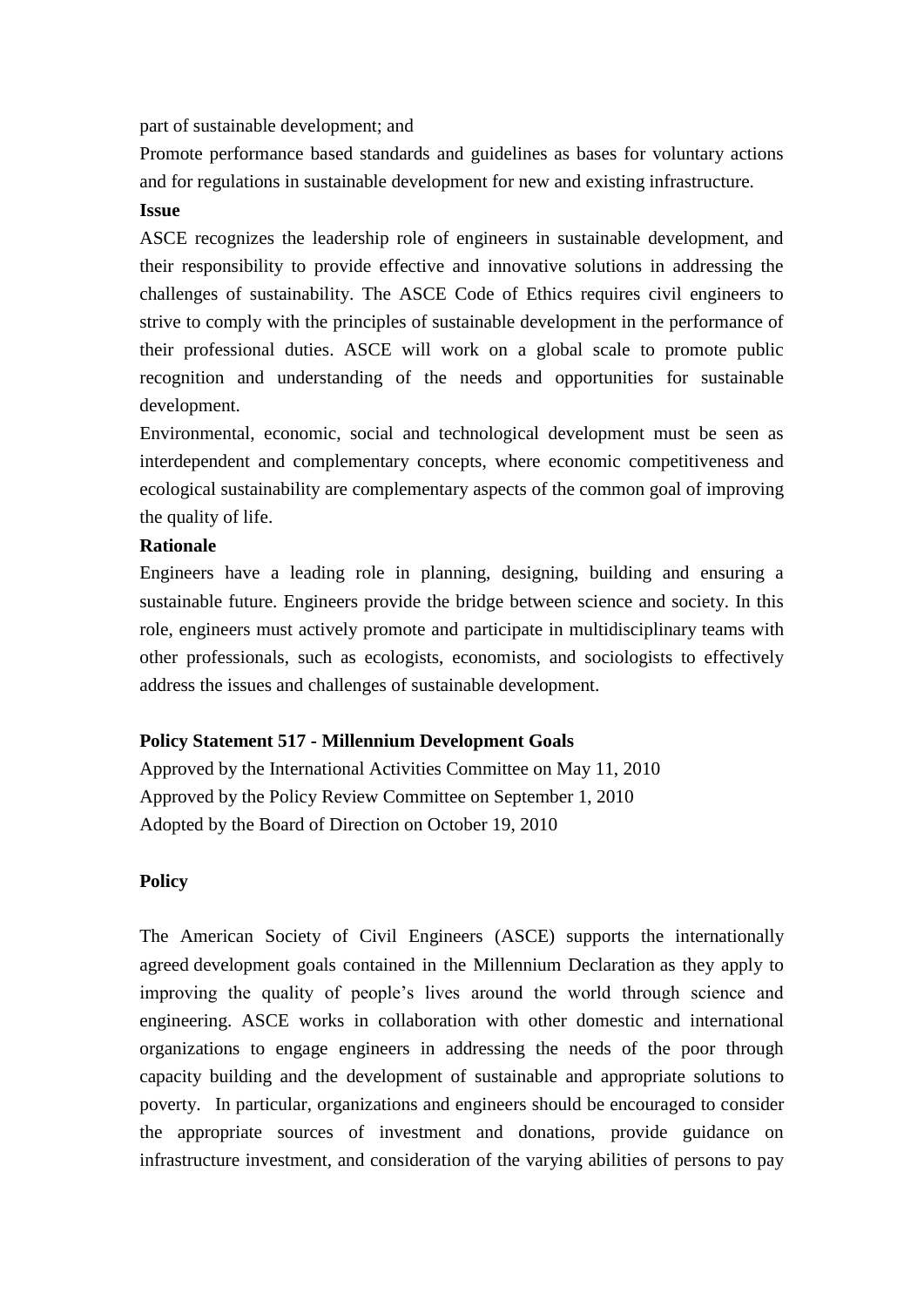part of sustainable development; and

Promote performance based standards and guidelines as bases for voluntary actions and for regulations in sustainable development for new and existing infrastructure.

### **Issue**

ASCE recognizes the leadership role of engineers in sustainable development, and their responsibility to provide effective and innovative solutions in addressing the challenges of sustainability. The ASCE Code of Ethics requires civil engineers to strive to comply with the principles of sustainable development in the performance of their professional duties. ASCE will work on a global scale to promote public recognition and understanding of the needs and opportunities for sustainable development.

Environmental, economic, social and technological development must be seen as interdependent and complementary concepts, where economic competitiveness and ecological sustainability are complementary aspects of the common goal of improving the quality of life.

### **Rationale**

Engineers have a leading role in planning, designing, building and ensuring a sustainable future. Engineers provide the bridge between science and society. In this role, engineers must actively promote and participate in multidisciplinary teams with other professionals, such as ecologists, economists, and sociologists to effectively address the issues and challenges of sustainable development.

# **Policy Statement 517 - Millennium Development Goals**

Approved by the International Activities Committee on May 11, 2010 Approved by the Policy Review Committee on September 1, 2010 Adopted by the Board of Direction on October 19, 2010

### **Policy**

The American Society of Civil Engineers (ASCE) supports the internationally agreed development goals contained in the Millennium Declaration as they apply to improving the quality of people"s lives around the world through science and engineering. ASCE works in collaboration with other domestic and international organizations to engage engineers in addressing the needs of the poor through capacity building and the development of sustainable and appropriate solutions to poverty. In particular, organizations and engineers should be encouraged to consider the appropriate sources of investment and donations, provide guidance on infrastructure investment, and consideration of the varying abilities of persons to pay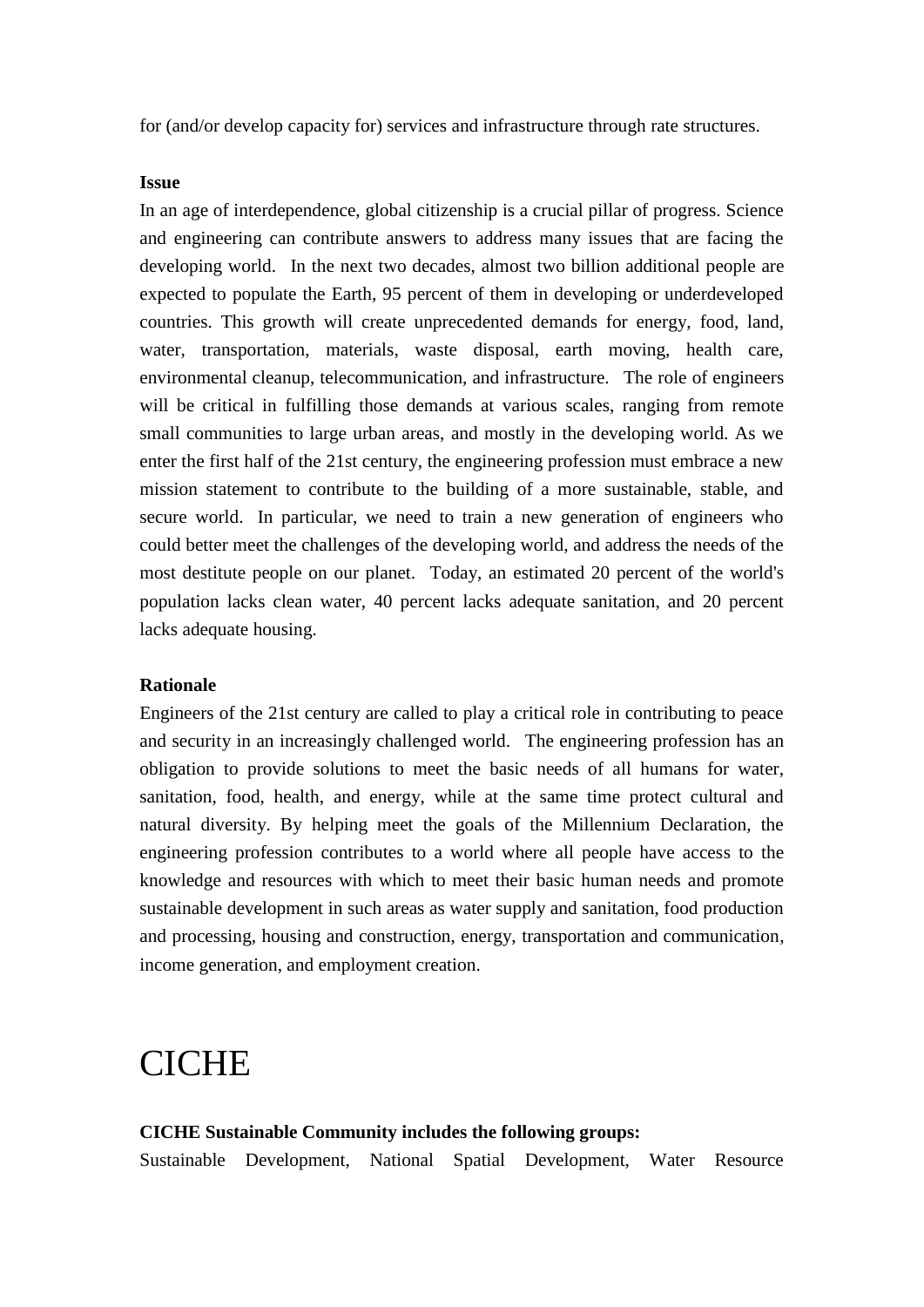for (and/or develop capacity for) services and infrastructure through rate structures.

#### **Issue**

In an age of interdependence, global citizenship is a crucial pillar of progress. Science and engineering can contribute answers to address many issues that are facing the developing world. In the next two decades, almost two billion additional people are expected to populate the Earth, 95 percent of them in developing or underdeveloped countries. This growth will create unprecedented demands for energy, food, land, water, transportation, materials, waste disposal, earth moving, health care, environmental cleanup, telecommunication, and infrastructure. The role of engineers will be critical in fulfilling those demands at various scales, ranging from remote small communities to large urban areas, and mostly in the developing world. As we enter the first half of the 21st century, the engineering profession must embrace a new mission statement to contribute to the building of a more sustainable, stable, and secure world. In particular, we need to train a new generation of engineers who could better meet the challenges of the developing world, and address the needs of the most destitute people on our planet. Today, an estimated 20 percent of the world's population lacks clean water, 40 percent lacks adequate sanitation, and 20 percent lacks adequate housing.

### **Rationale**

Engineers of the 21st century are called to play a critical role in contributing to peace and security in an increasingly challenged world. The engineering profession has an obligation to provide solutions to meet the basic needs of all humans for water, sanitation, food, health, and energy, while at the same time protect cultural and natural diversity. By helping meet the goals of the Millennium Declaration, the engineering profession contributes to a world where all people have access to the knowledge and resources with which to meet their basic human needs and promote sustainable development in such areas as water supply and sanitation, food production and processing, housing and construction, energy, transportation and communication, income generation, and employment creation.

# **CICHE**

# **CICHE Sustainable Community includes the following groups:** Sustainable Development, National Spatial Development, Water Resource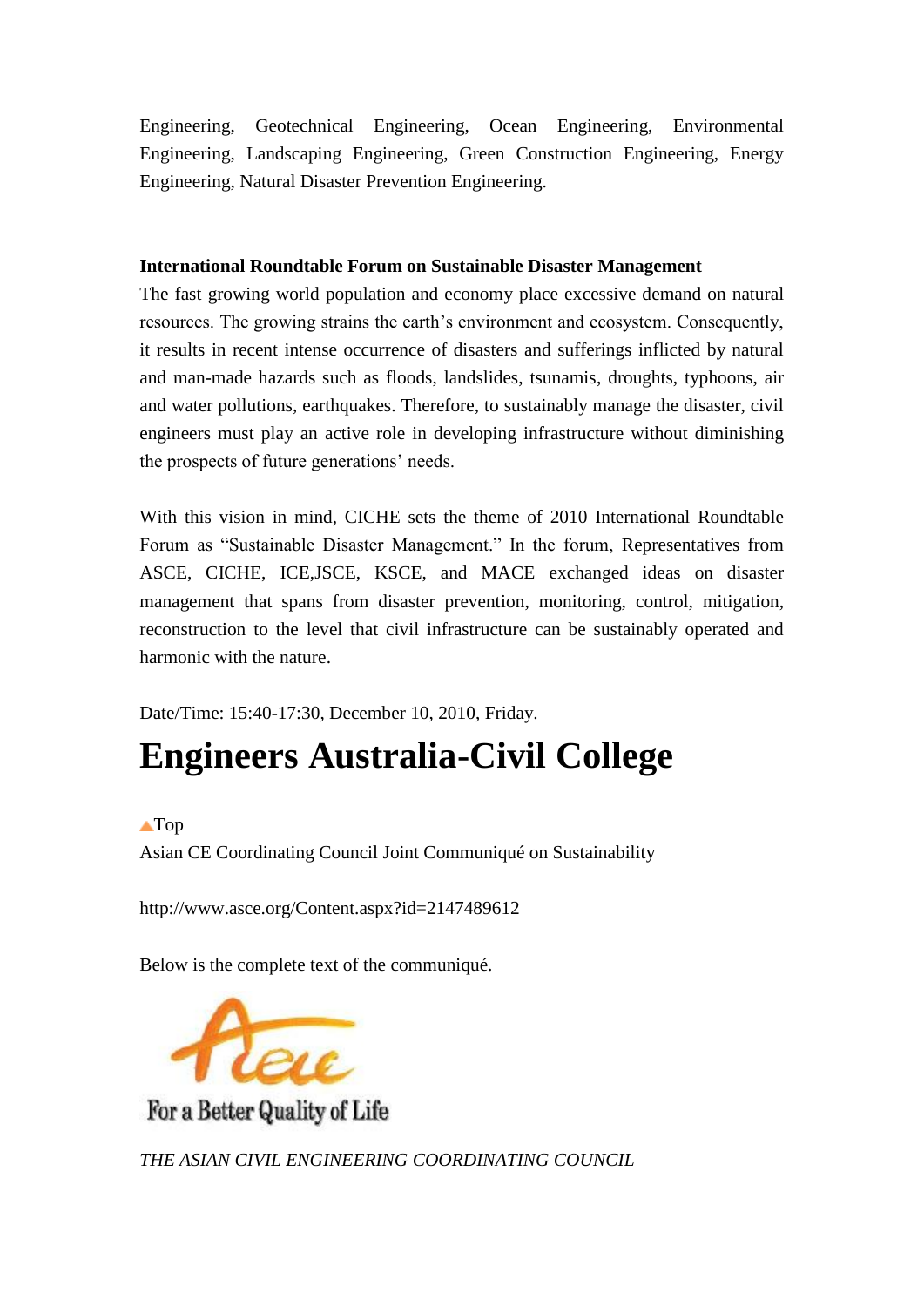Engineering, Geotechnical Engineering, Ocean Engineering, Environmental Engineering, Landscaping Engineering, Green Construction Engineering, Energy Engineering, Natural Disaster Prevention Engineering.

### **International Roundtable Forum on Sustainable Disaster Management**

The fast growing world population and economy place excessive demand on natural resources. The growing strains the earth"s environment and ecosystem. Consequently, it results in recent intense occurrence of disasters and sufferings inflicted by natural and man-made hazards such as floods, landslides, tsunamis, droughts, typhoons, air and water pollutions, earthquakes. Therefore, to sustainably manage the disaster, civil engineers must play an active role in developing infrastructure without diminishing the prospects of future generations' needs.

With this vision in mind, CICHE sets the theme of 2010 International Roundtable Forum as "Sustainable Disaster Management." In the forum, Representatives from ASCE, CICHE, ICE,JSCE, KSCE, and MACE exchanged ideas on disaster management that spans from disaster prevention, monitoring, control, mitigation, reconstruction to the level that civil infrastructure can be sustainably operated and harmonic with the nature.

Date/Time: 15:40-17:30, December 10, 2010, Friday.

# **Engineers Australia-Civil College**

# **A**[Top](http://www.jsce-int.org/ethics/sendai_declaration.shtml#top)

Asian CE Coordinating Council Joint Communiqué on Sustainability

<http://www.asce.org/Content.aspx?id=2147489612>

Below is the complete text of the communiqué.



For a Better Quality of Life

*THE ASIAN CIVIL ENGINEERING COORDINATING COUNCIL*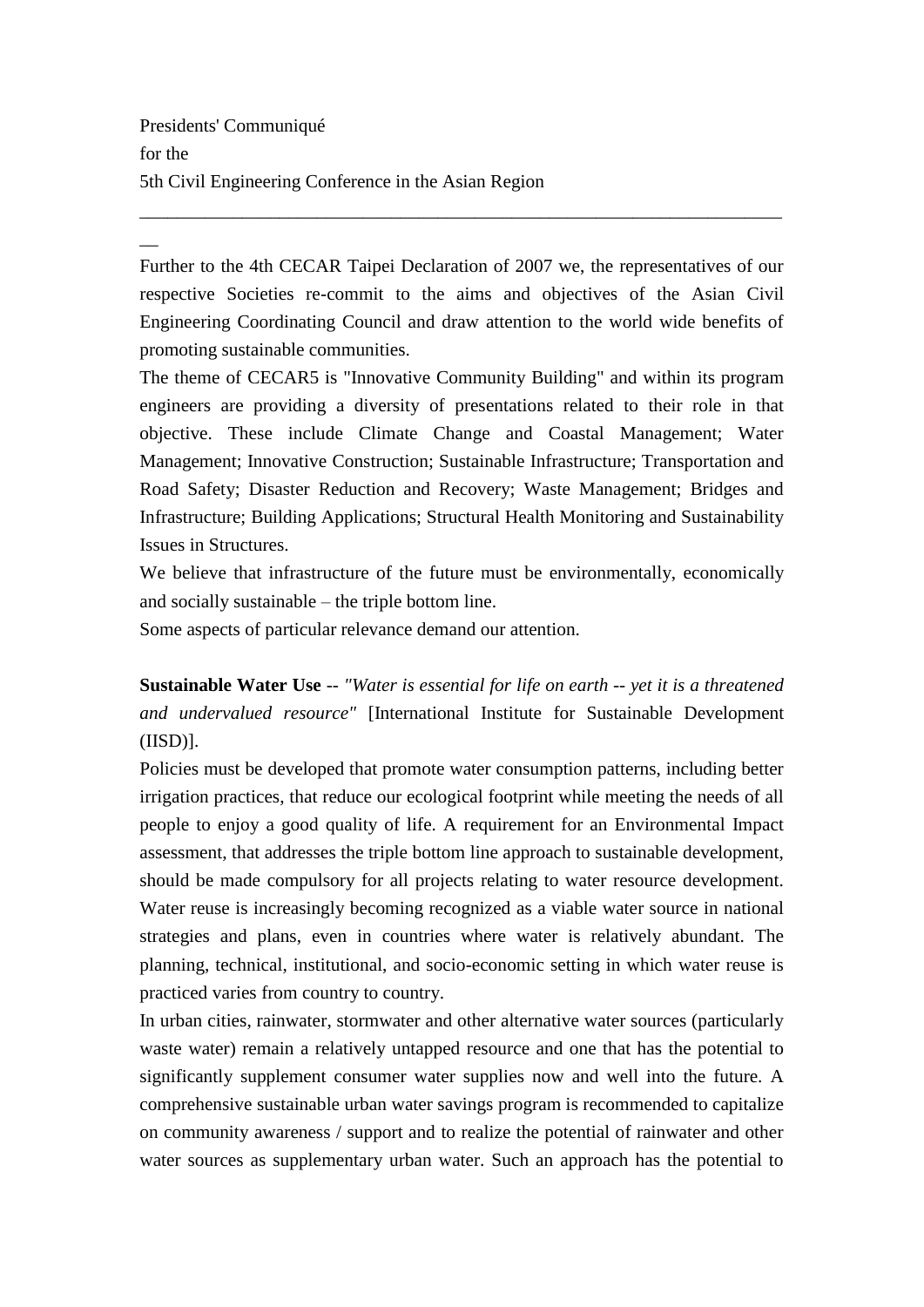Presidents' Communiqué for the 5th Civil Engineering Conference in the Asian Region

 $\overline{\phantom{a}}$ 

Further to the 4th CECAR Taipei Declaration of 2007 we, the representatives of our respective Societies re-commit to the aims and objectives of the Asian Civil Engineering Coordinating Council and draw attention to the world wide benefits of promoting sustainable communities.

\_\_\_\_\_\_\_\_\_\_\_\_\_\_\_\_\_\_\_\_\_\_\_\_\_\_\_\_\_\_\_\_\_\_\_\_\_\_\_\_\_\_\_\_\_\_\_\_\_\_\_\_\_\_\_\_\_\_\_\_\_\_\_\_\_\_\_\_\_

The theme of CECAR5 is "Innovative Community Building" and within its program engineers are providing a diversity of presentations related to their role in that objective. These include Climate Change and Coastal Management; Water Management; Innovative Construction; Sustainable Infrastructure; Transportation and Road Safety; Disaster Reduction and Recovery; Waste Management; Bridges and Infrastructure; Building Applications; Structural Health Monitoring and Sustainability Issues in Structures.

We believe that infrastructure of the future must be environmentally, economically and socially sustainable – the triple bottom line.

Some aspects of particular relevance demand our attention.

**Sustainable Water Use** -- *"Water is essential for life on earth -- yet it is a threatened and undervalued resource"* [International Institute for Sustainable Development (IISD)].

Policies must be developed that promote water consumption patterns, including better irrigation practices, that reduce our ecological footprint while meeting the needs of all people to enjoy a good quality of life. A requirement for an Environmental Impact assessment, that addresses the triple bottom line approach to sustainable development, should be made compulsory for all projects relating to water resource development. Water reuse is increasingly becoming recognized as a viable water source in national strategies and plans, even in countries where water is relatively abundant. The planning, technical, institutional, and socio-economic setting in which water reuse is practiced varies from country to country.

In urban cities, rainwater, stormwater and other alternative water sources (particularly waste water) remain a relatively untapped resource and one that has the potential to significantly supplement consumer water supplies now and well into the future. A comprehensive sustainable urban water savings program is recommended to capitalize on community awareness / support and to realize the potential of rainwater and other water sources as supplementary urban water. Such an approach has the potential to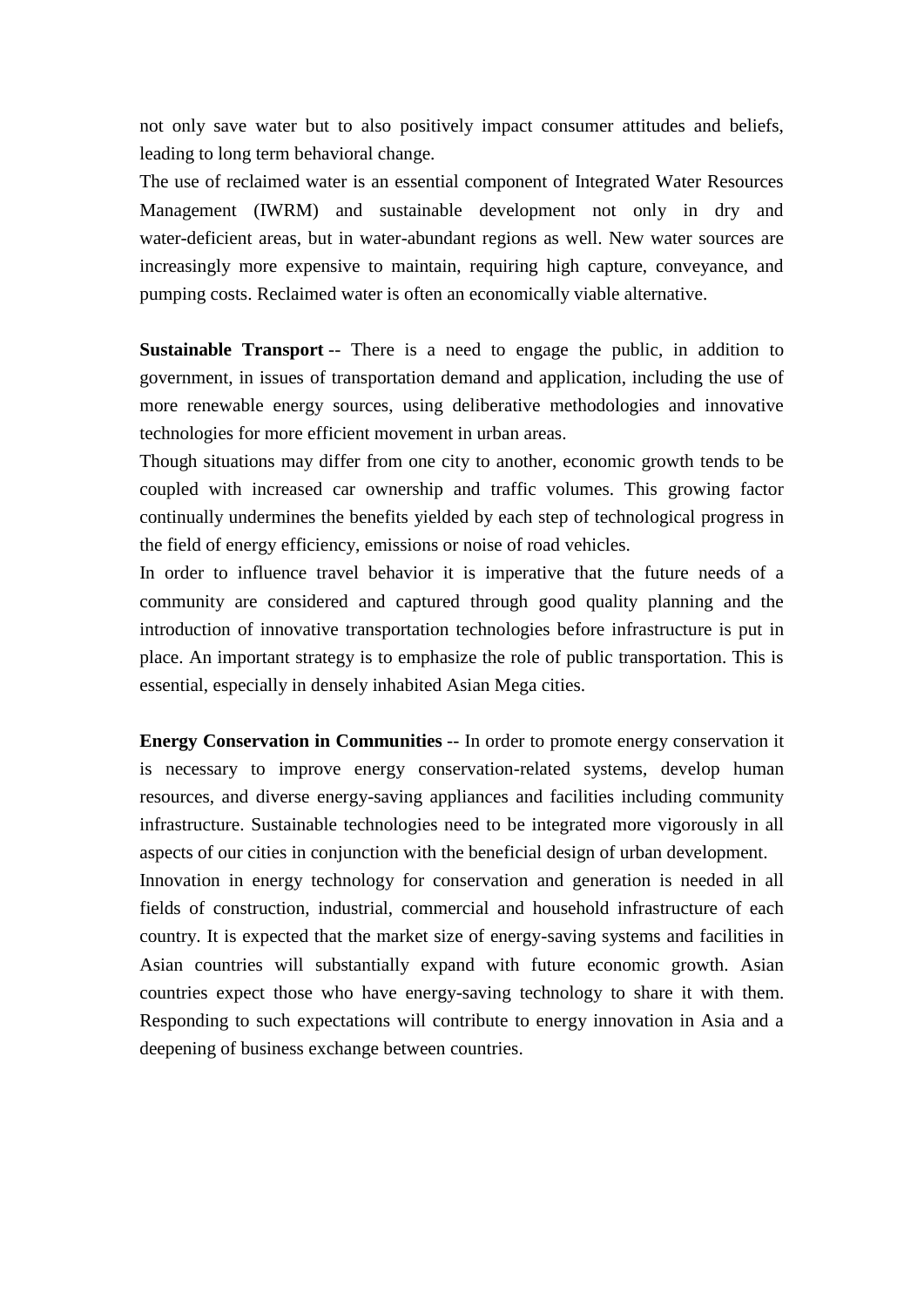not only save water but to also positively impact consumer attitudes and beliefs, leading to long term behavioral change.

The use of reclaimed water is an essential component of Integrated Water Resources Management (IWRM) and sustainable development not only in dry and water-deficient areas, but in water-abundant regions as well. New water sources are increasingly more expensive to maintain, requiring high capture, conveyance, and pumping costs. Reclaimed water is often an economically viable alternative.

**Sustainable Transport** -- There is a need to engage the public, in addition to government, in issues of transportation demand and application, including the use of more renewable energy sources, using deliberative methodologies and innovative technologies for more efficient movement in urban areas.

Though situations may differ from one city to another, economic growth tends to be coupled with increased car ownership and traffic volumes. This growing factor continually undermines the benefits yielded by each step of technological progress in the field of energy efficiency, emissions or noise of road vehicles.

In order to influence travel behavior it is imperative that the future needs of a community are considered and captured through good quality planning and the introduction of innovative transportation technologies before infrastructure is put in place. An important strategy is to emphasize the role of public transportation. This is essential, especially in densely inhabited Asian Mega cities.

**Energy Conservation in Communities** -- In order to promote energy conservation it is necessary to improve energy conservation-related systems, develop human resources, and diverse energy-saving appliances and facilities including community infrastructure. Sustainable technologies need to be integrated more vigorously in all aspects of our cities in conjunction with the beneficial design of urban development. Innovation in energy technology for conservation and generation is needed in all fields of construction, industrial, commercial and household infrastructure of each country. It is expected that the market size of energy-saving systems and facilities in Asian countries will substantially expand with future economic growth. Asian countries expect those who have energy-saving technology to share it with them. Responding to such expectations will contribute to energy innovation in Asia and a deepening of business exchange between countries.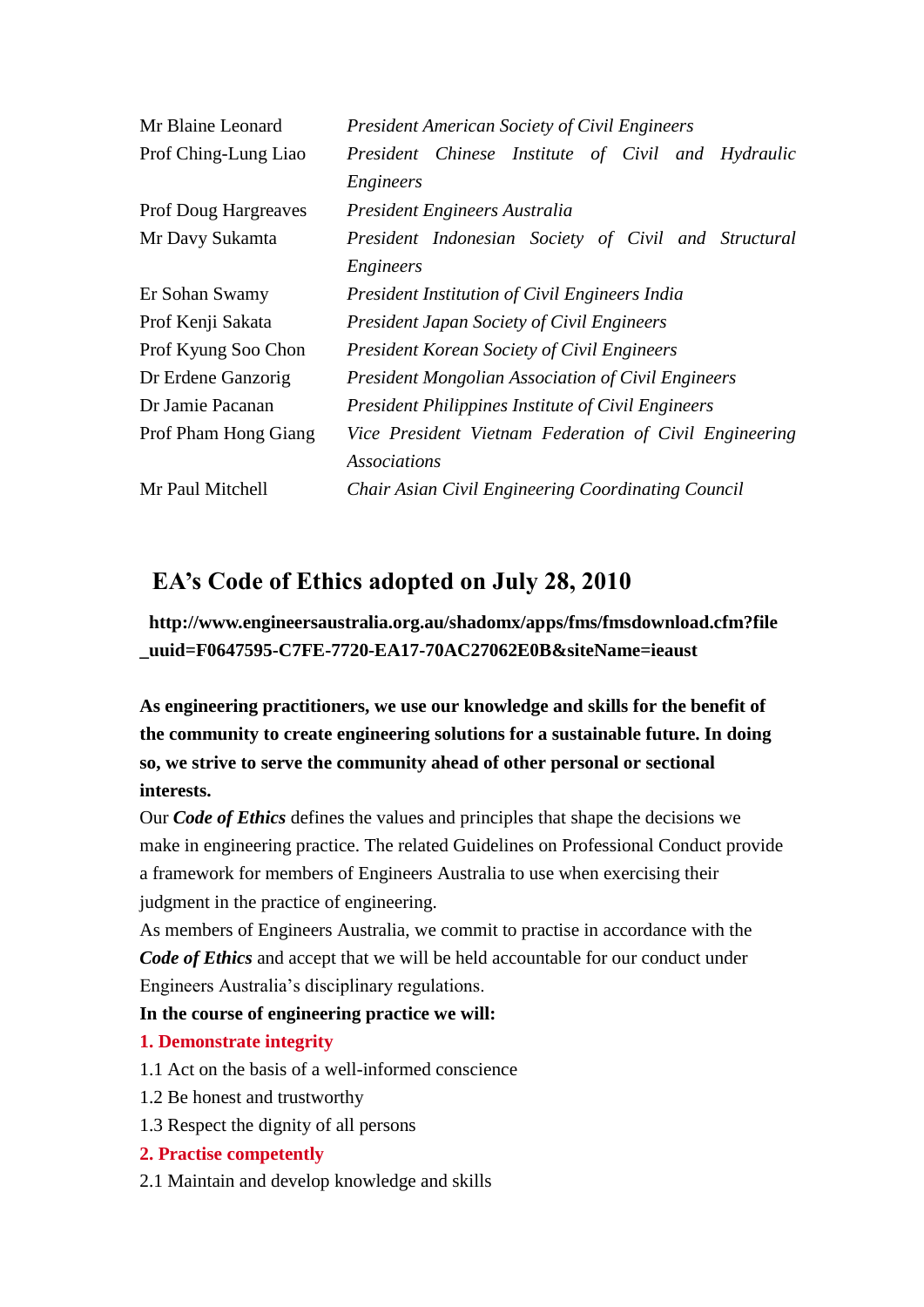| <b>President American Society of Civil Engineers</b>      |
|-----------------------------------------------------------|
| President Chinese Institute of Civil and Hydraulic        |
| Engineers                                                 |
| President Engineers Australia                             |
| President Indonesian Society of Civil and Structural      |
| Engineers                                                 |
| President Institution of Civil Engineers India            |
| President Japan Society of Civil Engineers                |
| <b>President Korean Society of Civil Engineers</b>        |
| <b>President Mongolian Association of Civil Engineers</b> |
| President Philippines Institute of Civil Engineers        |
| Vice President Vietnam Federation of Civil Engineering    |
| <b>Associations</b>                                       |
| Chair Asian Civil Engineering Coordinating Council        |
|                                                           |

# **EA's Code of Ethics adopted on July 28, 2010**

**http://www.engineersaustralia.org.au/shadomx/apps/fms/fmsdownload.cfm?file \_uuid=F0647595-C7FE-7720-EA17-70AC27062E0B&siteName=ieaust**

**As engineering practitioners, we use our knowledge and skills for the benefit of the community to create engineering solutions for a sustainable future. In doing so, we strive to serve the community ahead of other personal or sectional interests.**

Our *Code of Ethics* defines the values and principles that shape the decisions we make in engineering practice. The related Guidelines on Professional Conduct provide a framework for members of Engineers Australia to use when exercising their judgment in the practice of engineering.

As members of Engineers Australia, we commit to practise in accordance with the *Code of Ethics* and accept that we will be held accountable for our conduct under Engineers Australia"s disciplinary regulations.

# **In the course of engineering practice we will:**

# **1. Demonstrate integrity**

- 1.1 Act on the basis of a well-informed conscience
- 1.2 Be honest and trustworthy
- 1.3 Respect the dignity of all persons
- **2. Practise competently**
- 2.1 Maintain and develop knowledge and skills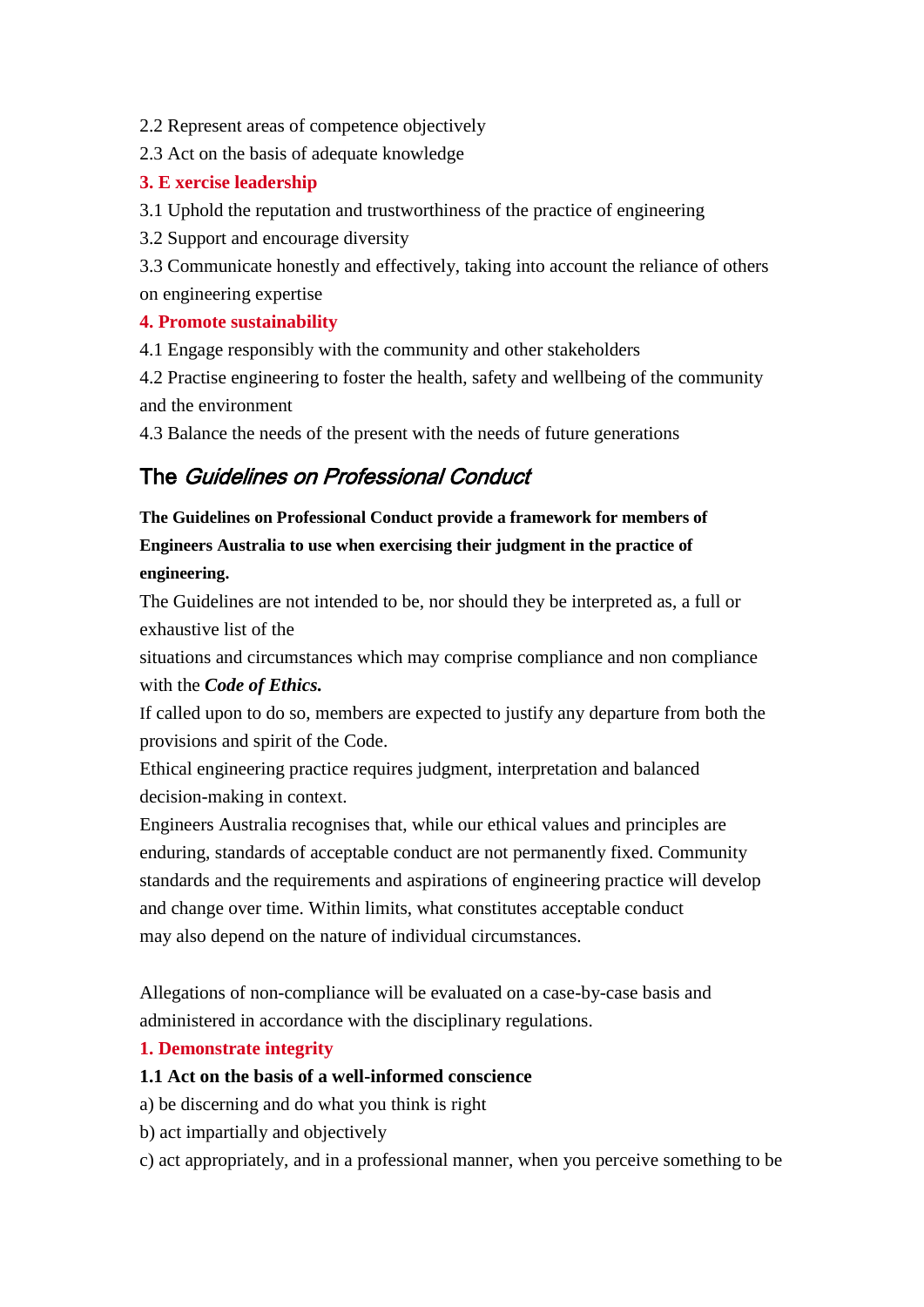- 2.2 Represent areas of competence objectively
- 2.3 Act on the basis of adequate knowledge

# **3. E xercise leadership**

- 3.1 Uphold the reputation and trustworthiness of the practice of engineering
- 3.2 Support and encourage diversity
- 3.3 Communicate honestly and effectively, taking into account the reliance of others on engineering expertise

# **4. Promote sustainability**

- 4.1 Engage responsibly with the community and other stakeholders
- 4.2 Practise engineering to foster the health, safety and wellbeing of the community and the environment

4.3 Balance the needs of the present with the needs of future generations

# The Guidelines on Professional Conduct

**The Guidelines on Professional Conduct provide a framework for members of Engineers Australia to use when exercising their judgment in the practice of engineering.**

The Guidelines are not intended to be, nor should they be interpreted as, a full or exhaustive list of the

situations and circumstances which may comprise compliance and non compliance with the *Code of Ethics.*

If called upon to do so, members are expected to justify any departure from both the provisions and spirit of the Code.

Ethical engineering practice requires judgment, interpretation and balanced decision-making in context.

Engineers Australia recognises that, while our ethical values and principles are enduring, standards of acceptable conduct are not permanently fixed. Community standards and the requirements and aspirations of engineering practice will develop and change over time. Within limits, what constitutes acceptable conduct may also depend on the nature of individual circumstances.

Allegations of non-compliance will be evaluated on a case-by-case basis and administered in accordance with the disciplinary regulations.

# **1. Demonstrate integrity**

### **1.1 Act on the basis of a well-informed conscience**

- a) be discerning and do what you think is right
- b) act impartially and objectively
- c) act appropriately, and in a professional manner, when you perceive something to be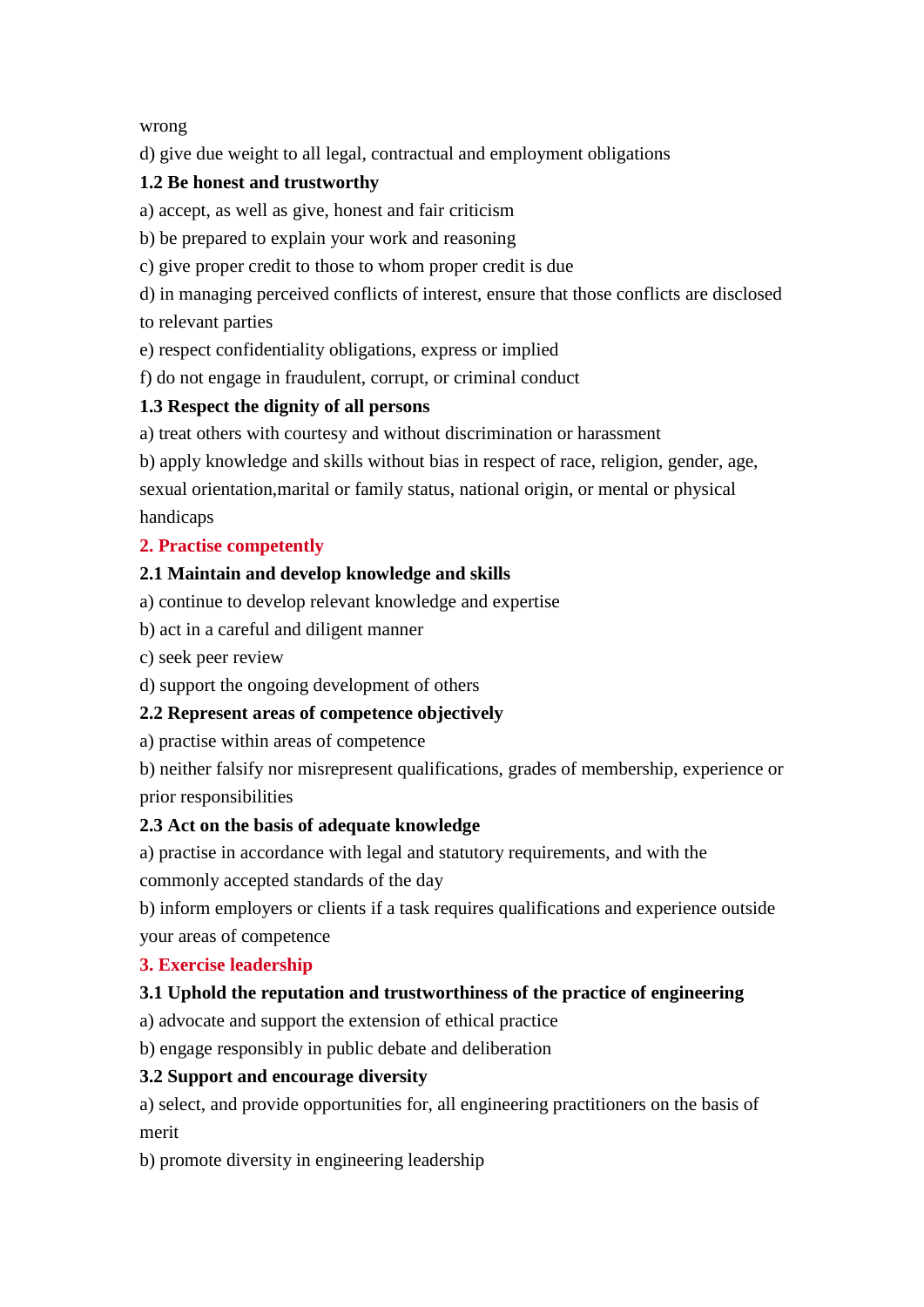### wrong

d) give due weight to all legal, contractual and employment obligations

# **1.2 Be honest and trustworthy**

a) accept, as well as give, honest and fair criticism

b) be prepared to explain your work and reasoning

c) give proper credit to those to whom proper credit is due

d) in managing perceived conflicts of interest, ensure that those conflicts are disclosed to relevant parties

e) respect confidentiality obligations, express or implied

f) do not engage in fraudulent, corrupt, or criminal conduct

# **1.3 Respect the dignity of all persons**

a) treat others with courtesy and without discrimination or harassment

b) apply knowledge and skills without bias in respect of race, religion, gender, age,

sexual orientation,marital or family status, national origin, or mental or physical handicaps

# **2. Practise competently**

# **2.1 Maintain and develop knowledge and skills**

a) continue to develop relevant knowledge and expertise

b) act in a careful and diligent manner

c) seek peer review

d) support the ongoing development of others

# **2.2 Represent areas of competence objectively**

a) practise within areas of competence

b) neither falsify nor misrepresent qualifications, grades of membership, experience or prior responsibilities

# **2.3 Act on the basis of adequate knowledge**

a) practise in accordance with legal and statutory requirements, and with the commonly accepted standards of the day

b) inform employers or clients if a task requires qualifications and experience outside your areas of competence

# **3. Exercise leadership**

# **3.1 Uphold the reputation and trustworthiness of the practice of engineering**

a) advocate and support the extension of ethical practice

b) engage responsibly in public debate and deliberation

# **3.2 Support and encourage diversity**

a) select, and provide opportunities for, all engineering practitioners on the basis of merit

b) promote diversity in engineering leadership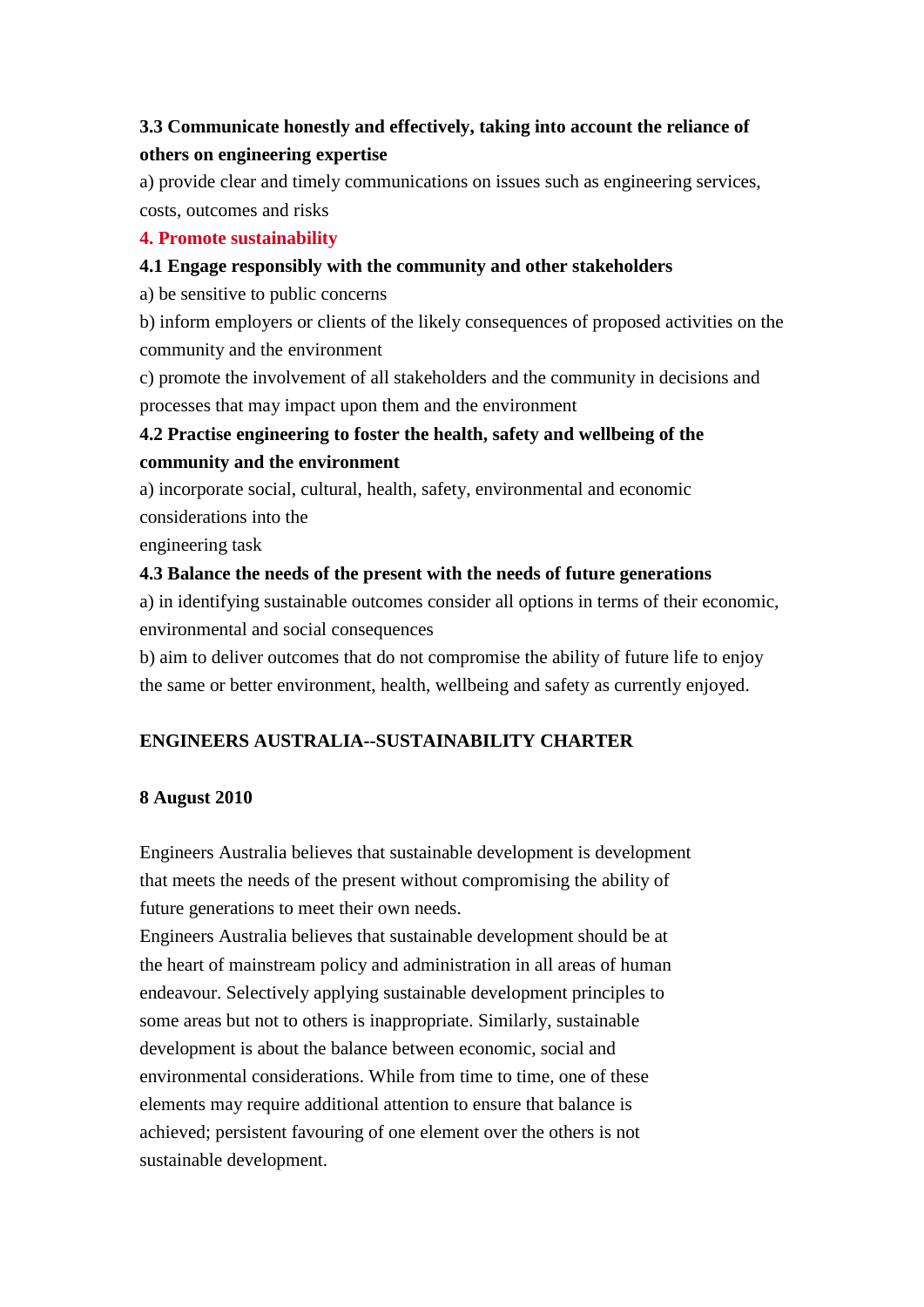# **3.3 Communicate honestly and effectively, taking into account the reliance of others on engineering expertise**

a) provide clear and timely communications on issues such as engineering services, costs, outcomes and risks

# **4. Promote sustainability**

# **4.1 Engage responsibly with the community and other stakeholders**

a) be sensitive to public concerns

b) inform employers or clients of the likely consequences of proposed activities on the community and the environment

c) promote the involvement of all stakeholders and the community in decisions and processes that may impact upon them and the environment

# **4.2 Practise engineering to foster the health, safety and wellbeing of the community and the environment**

a) incorporate social, cultural, health, safety, environmental and economic considerations into the

engineering task

# **4.3 Balance the needs of the present with the needs of future generations**

a) in identifying sustainable outcomes consider all options in terms of their economic, environmental and social consequences

b) aim to deliver outcomes that do not compromise the ability of future life to enjoy the same or better environment, health, wellbeing and safety as currently enjoyed.

# **ENGINEERS AUSTRALIA--SUSTAINABILITY CHARTER**

# **8 August 2010**

Engineers Australia believes that sustainable development is development that meets the needs of the present without compromising the ability of future generations to meet their own needs.

Engineers Australia believes that sustainable development should be at the heart of mainstream policy and administration in all areas of human endeavour. Selectively applying sustainable development principles to some areas but not to others is inappropriate. Similarly, sustainable development is about the balance between economic, social and environmental considerations. While from time to time, one of these elements may require additional attention to ensure that balance is achieved; persistent favouring of one element over the others is not sustainable development.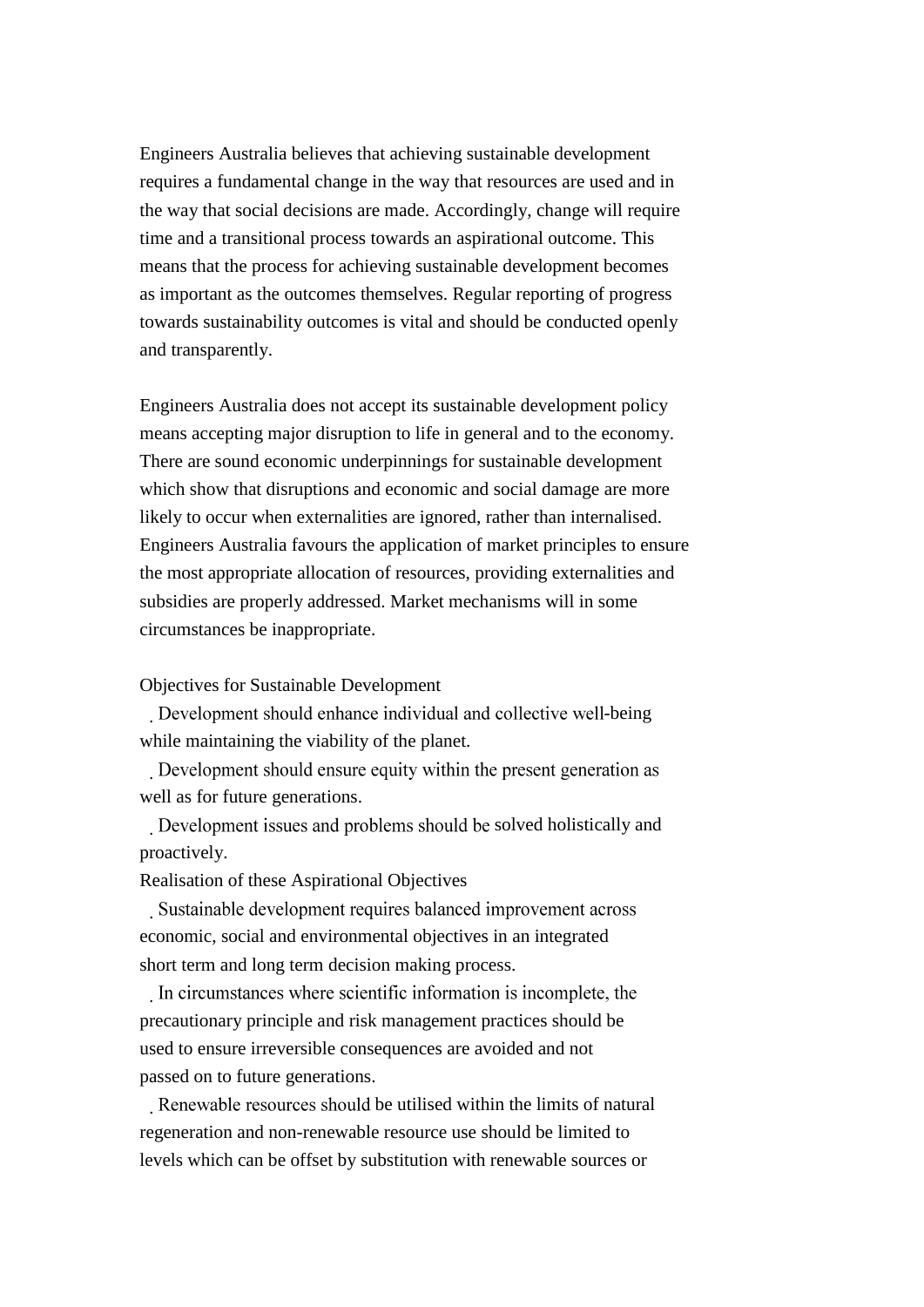Engineers Australia believes that achieving sustainable development requires a fundamental change in the way that resources are used and in the way that social decisions are made. Accordingly, change will require time and a transitional process towards an aspirational outcome. This means that the process for achieving sustainable development becomes as important as the outcomes themselves. Regular reporting of progress towards sustainability outcomes is vital and should be conducted openly and transparently.

Engineers Australia does not accept its sustainable development policy means accepting major disruption to life in general and to the economy. There are sound economic underpinnings for sustainable development which show that disruptions and economic and social damage are more likely to occur when externalities are ignored, rather than internalised. Engineers Australia favours the application of market principles to ensure the most appropriate allocation of resources, providing externalities and subsidies are properly addressed. Market mechanisms will in some circumstances be inappropriate.

Objectives for Sustainable Development

Development should enhance individual and collective well-being while maintaining the viability of the planet.

Development should ensure equity within the present generation as well as for future generations.

Development issues and problems should be solved holistically and proactively.

Realisation of these Aspirational Objectives

Sustainable development requires balanced improvement across economic, social and environmental objectives in an integrated short term and long term decision making process.

In circumstances where scientific information is incomplete, the precautionary principle and risk management practices should be used to ensure irreversible consequences are avoided and not passed on to future generations.

Renewable resources should be utilised within the limits of natural regeneration and non-renewable resource use should be limited to levels which can be offset by substitution with renewable sources or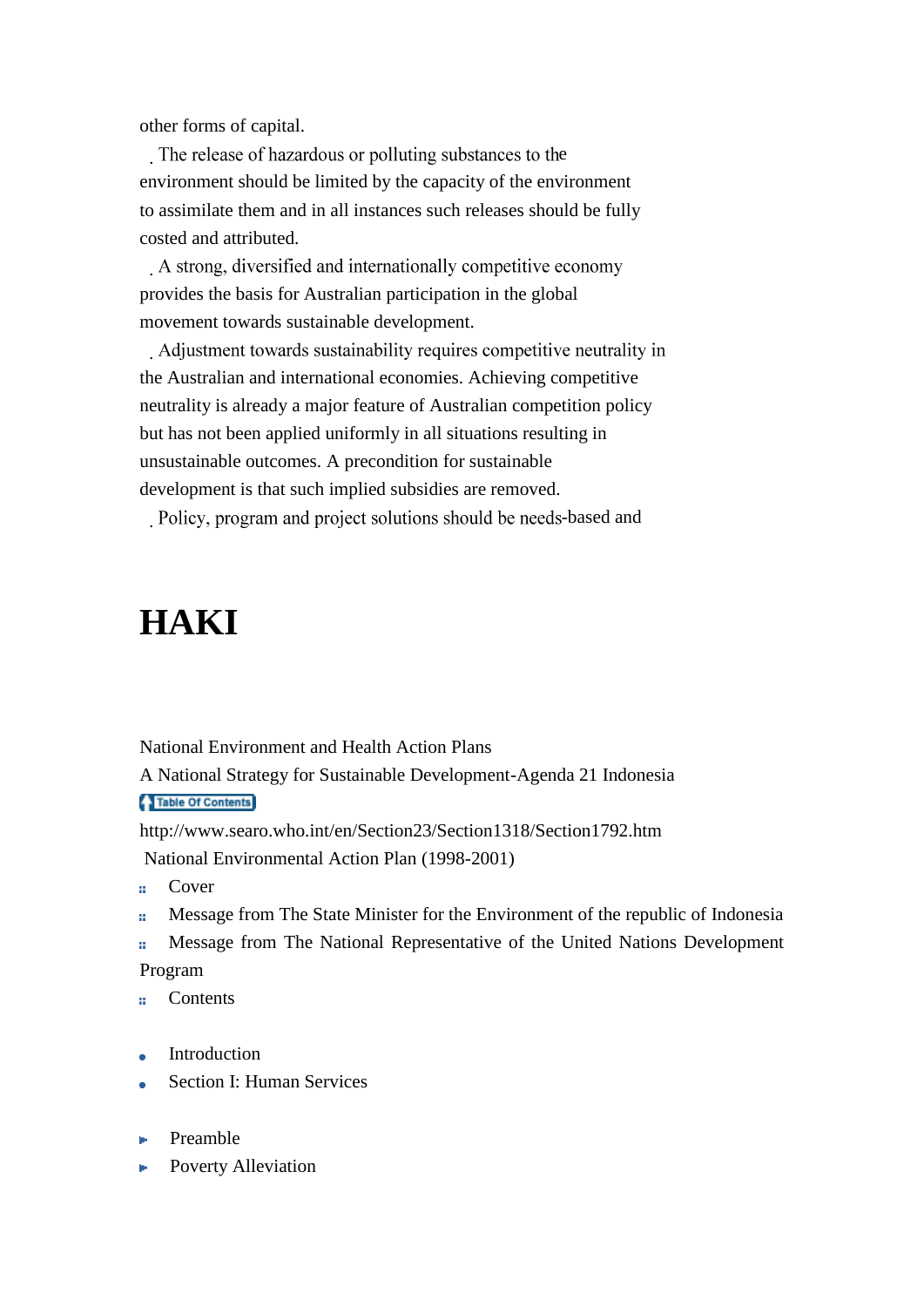other forms of capital.

The release of hazardous or polluting substances to the environment should be limited by the capacity of the environment to assimilate them and in all instances such releases should be fully costed and attributed.

A strong, diversified and internationally competitive economy provides the basis for Australian participation in the global movement towards sustainable development.

Adjustment towards sustainability requires competitive neutrality in the Australian and international economies. Achieving competitive neutrality is already a major feature of Australian competition policy but has not been applied uniformly in all situations resulting in unsustainable outcomes. A precondition for sustainable development is that such implied subsidies are removed.

Policy, program and project solutions should be needs-based and

# **HAKI**

National Environment and Health Action Plans

A National Strategy for Sustainable Development-Agenda 21 Indonesia

### Table Of Contents

http://www.searo.who.int/en/Section23/Section1318/Section1792.htm National Environmental Action Plan (1998-2001)

- [Cover](http://www.searo.who.int/LinkFiles/National_Environment_&_Health_Action_Plan_cover.pdf) à.
- [Message from The State Minister for the Environment of the republic of Indonesia](http://www.searo.who.int/LinkFiles/National_Environment_&_Health_Action_Plan_mestatemnstr.pdf) à.
- [Message from The National Representative of the United Nations Development](http://www.searo.who.int/LinkFiles/National_Environment_&_Health_Action_Plan_mesrestrepreun.pdf)  à.

### [Program](http://www.searo.who.int/LinkFiles/National_Environment_&_Health_Action_Plan_mesrestrepreun.pdf)

- **[Contents](http://www.searo.who.int/LinkFiles/National_Environment_&_Health_Action_Plan_toc.pdf)**  $\mathbf{r}_\mathrm{f}$
- [Introduction](http://www.searo.who.int/LinkFiles/National_Environment_&_Health_Action_Plan_intro.pdf) ×.
- Section I: Human Services
- [Preamble](http://www.searo.who.int/LinkFiles/National_Environment_&_Health_Action_Plan_preamblesec1.pdf) b.
- [Poverty Alleviation](http://www.searo.who.int/LinkFiles/National_Environment_&_Health_Action_Plan_sec1a.pdf)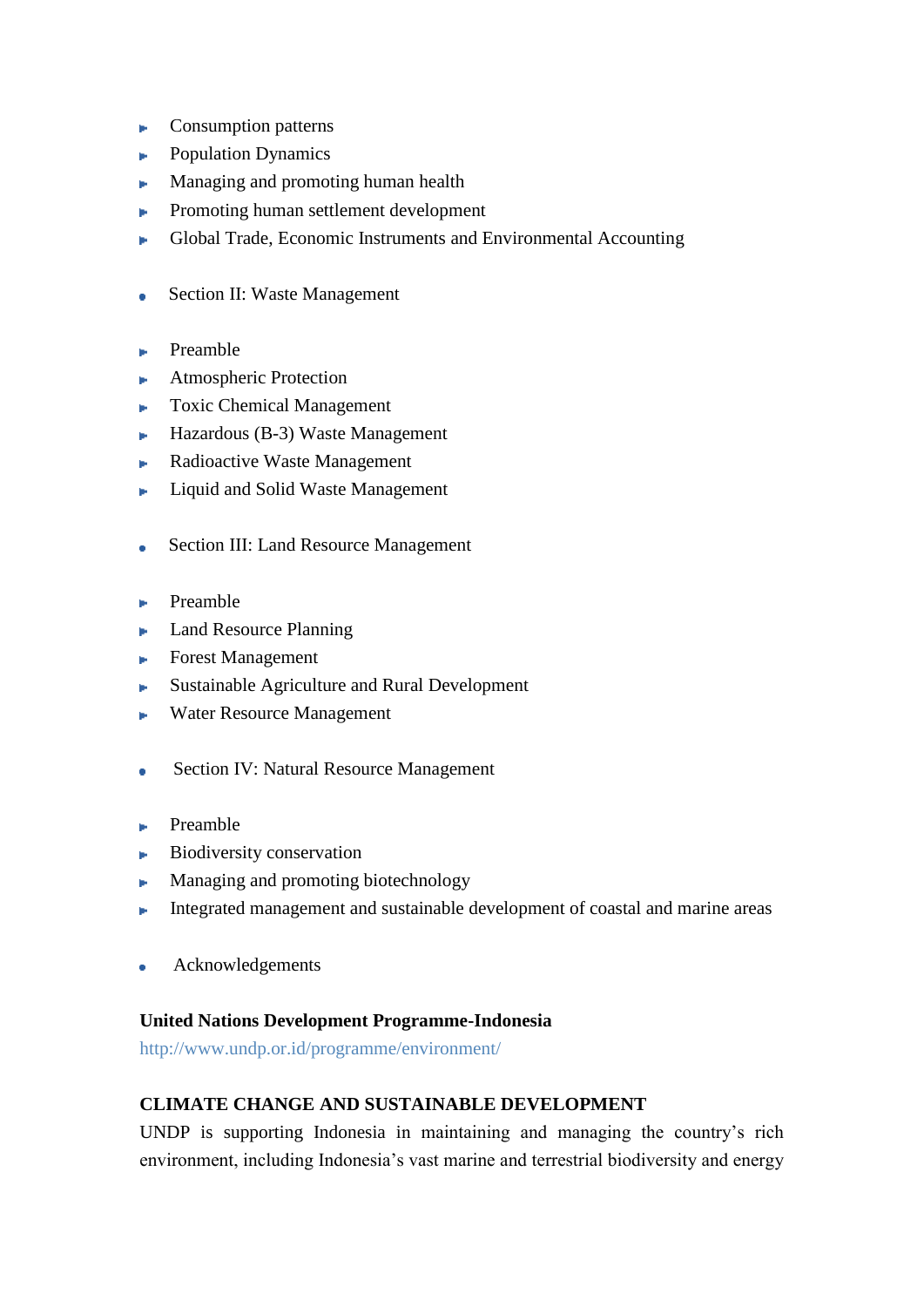- Consumption patterns þ.
- Population Dynamics p.
- [Managing and promoting human health](http://www.searo.who.int/LinkFiles/National_Environment_&_Health_Action_Plan_sec1d.pdf) p.
- p. Promoting human settlement development
- Global Trade, Economic Instruments and Environmental Accounting **Inc.**
- Section II: Waste Management  $\bullet$
- $\blacktriangleright$  [Preamble](http://www.searo.who.int/LinkFiles/National_Environment_&_Health_Action_Plan_sec2a.pdf)
- [Atmospheric Protection](http://www.searo.who.int/LinkFiles/National_Environment_&_Health_Action_Plan_sec2b.pdf) b.
- Toxic Chemical Management m.
- Hazardous (B-3) Waste Management p.
- Radioactive Waste Management g.
- Liquid and Solid Waste Management **Inc.**
- o. Section III: Land Resource Management
- [Preamble](http://www.searo.who.int/LinkFiles/National_Environment_&_Health_Action_Plan_sec3a.pdf) p.
- **[Land Resource Planning](http://www.searo.who.int/LinkFiles/National_Environment_&_Health_Action_Plan_sec3b.pdf)**
- Forest Management **Burney**
- Sustainable Agriculture and Rural Development ъ.
- Water Resource Management
- Section IV: Natural Resource Management  $\bullet$
- in 19 [Preamble](http://www.searo.who.int/LinkFiles/National_Environment_&_Health_Action_Plan_sec4a.pdf)
- [Biodiversity conservation](http://www.searo.who.int/LinkFiles/National_Environment_&_Health_Action_Plan_sec4b.pdf)
- Managing and promoting biotechnology m.
- Integrated management and sustainable development of coastal and marine areas b.
- Acknowledgements ă.

# **United Nations Development Programme-Indonesia**

<http://www.undp.or.id/programme/environment/>

# **CLIMATE CHANGE AND SUSTAINABLE DEVELOPMENT**

UNDP is supporting Indonesia in maintaining and managing the country"s rich environment, including Indonesia"s vast marine and terrestrial biodiversity and energy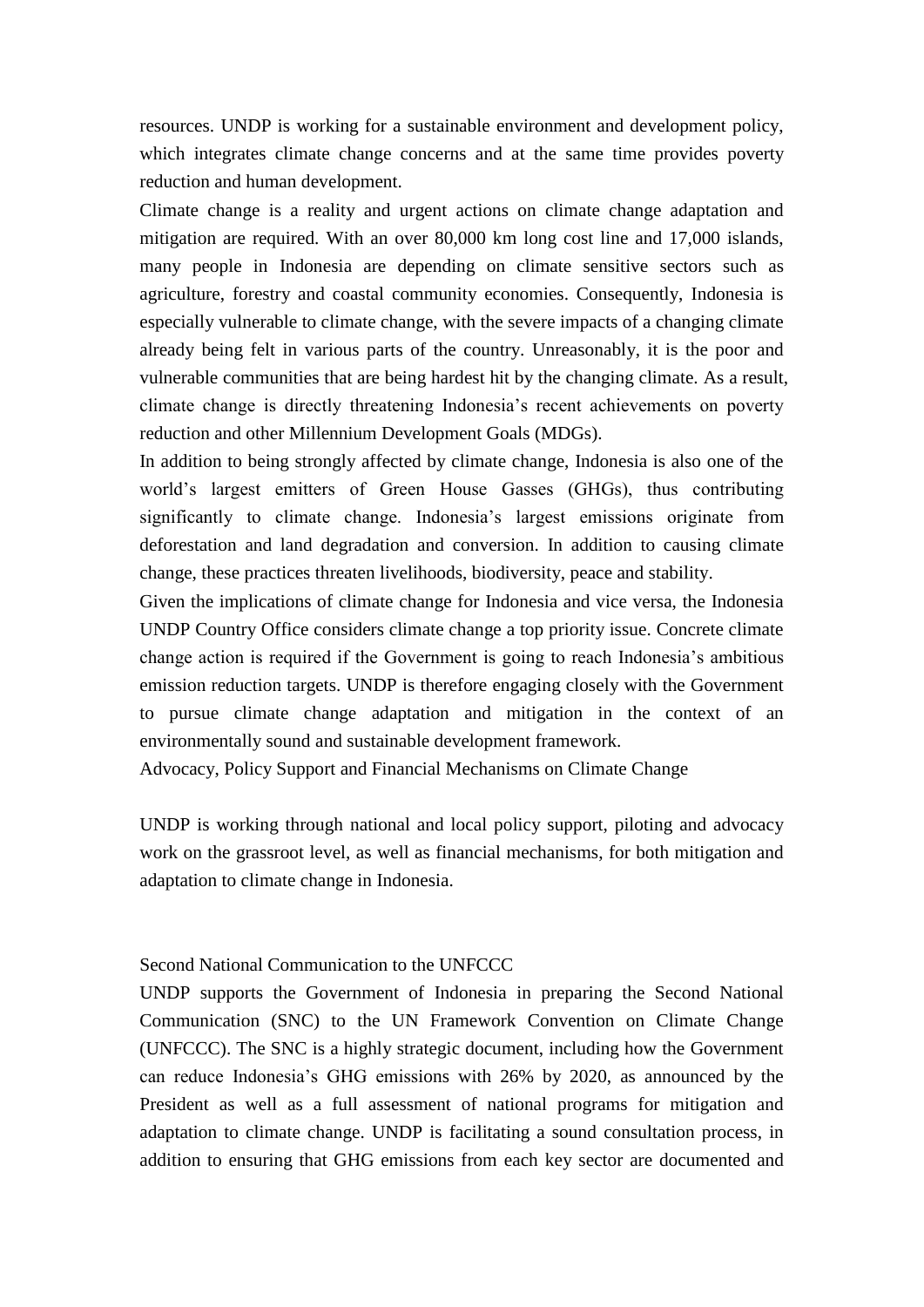resources. UNDP is working for a sustainable environment and development policy, which integrates climate change concerns and at the same time provides poverty reduction and human development.

Climate change is a reality and urgent actions on climate change adaptation and mitigation are required. With an over 80,000 km long cost line and 17,000 islands, many people in Indonesia are depending on climate sensitive sectors such as agriculture, forestry and coastal community economies. Consequently, Indonesia is especially vulnerable to climate change, with the severe impacts of a changing climate already being felt in various parts of the country. Unreasonably, it is the poor and vulnerable communities that are being hardest hit by the changing climate. As a result, climate change is directly threatening Indonesia"s recent achievements on poverty reduction and other Millennium Development Goals (MDGs).

In addition to being strongly affected by climate change, Indonesia is also one of the world"s largest emitters of Green House Gasses (GHGs), thus contributing significantly to climate change. Indonesia's largest emissions originate from deforestation and land degradation and conversion. In addition to causing climate change, these practices threaten livelihoods, biodiversity, peace and stability.

Given the implications of climate change for Indonesia and vice versa, the Indonesia UNDP Country Office considers climate change a top priority issue. Concrete climate change action is required if the Government is going to reach Indonesia"s ambitious emission reduction targets. UNDP is therefore engaging closely with the Government to pursue climate change adaptation and mitigation in the context of an environmentally sound and sustainable development framework.

[Advocacy, Policy Support and Financial Mechanisms on Climate Change](http://www.undp.or.id/programme/environment/) 

[UNDP is working through national and local policy support, piloting and advocacy](http://www.undp.or.id/programme/environment/)  [work on the grassroot level, as well as financial mechanisms, for both mitigation and](http://www.undp.or.id/programme/environment/)  [adaptation to climate change in Indonesia.](http://www.undp.or.id/programme/environment/)

### Second National Communication to the UNFCCC

UNDP supports the Government of Indonesia in preparing the Second National Communication (SNC) to the UN Framework Convention on Climate Change (UNFCCC). The SNC is a highly strategic document, including how the Government can reduce Indonesia"s GHG emissions with 26% by 2020, as announced by the President as well as a full assessment of national programs for mitigation and adaptation to climate change. UNDP is facilitating a sound consultation process, in addition to ensuring that GHG emissions from each key sector are documented and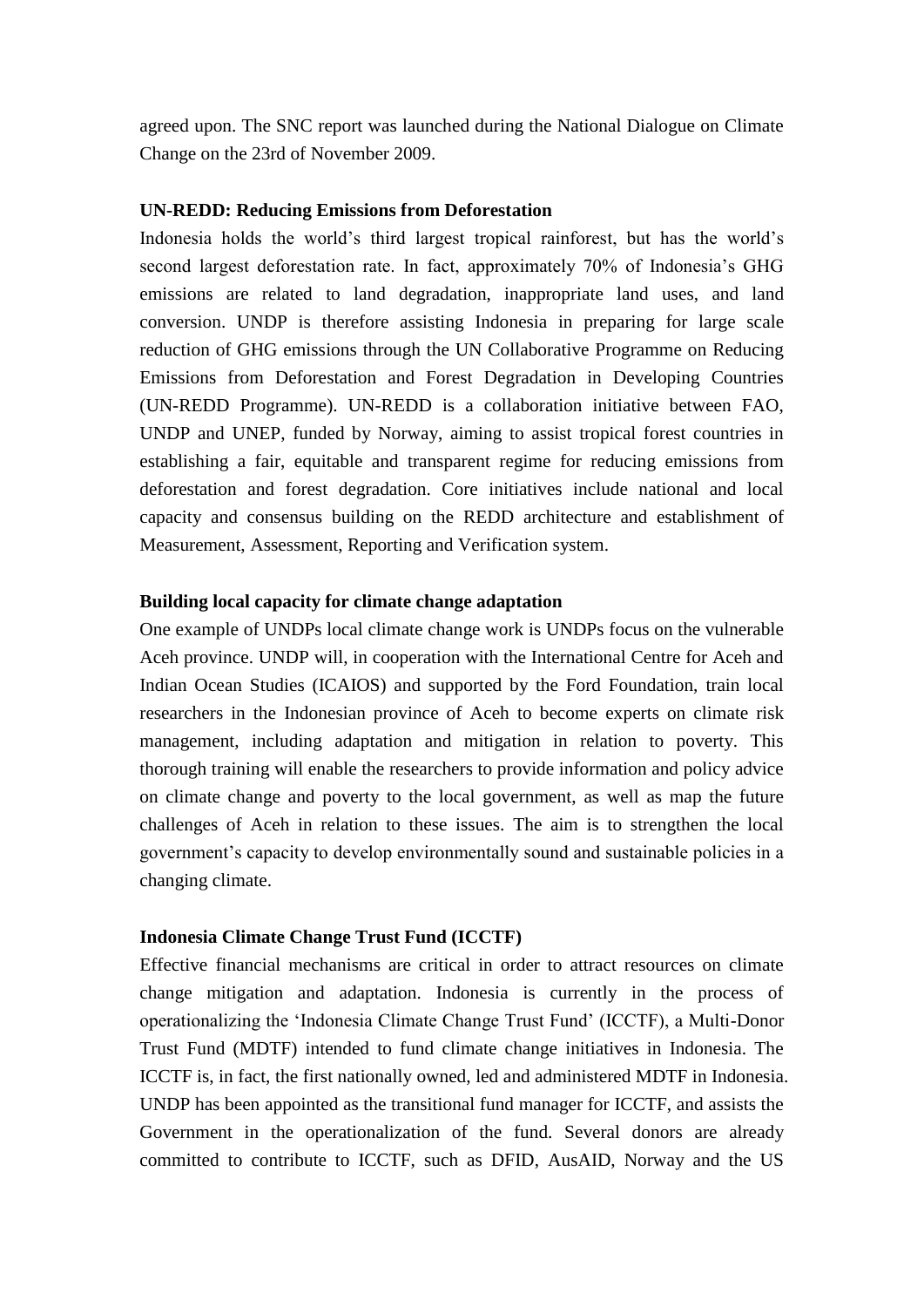agreed upon. The SNC report was launched during the National Dialogue on Climate Change on the 23rd of November 2009.

### **UN-REDD: Reducing Emissions from Deforestation**

Indonesia holds the world"s third largest tropical rainforest, but has the world"s second largest deforestation rate. In fact, approximately 70% of Indonesia's GHG emissions are related to land degradation, inappropriate land uses, and land conversion. UNDP is therefore assisting Indonesia in preparing for large scale reduction of GHG emissions through the UN Collaborative Programme on Reducing Emissions from Deforestation and Forest Degradation in Developing Countries (UN-REDD Programme). UN-REDD is a collaboration initiative between FAO, UNDP and UNEP, funded by Norway, aiming to assist tropical forest countries in establishing a fair, equitable and transparent regime for reducing emissions from deforestation and forest degradation. Core initiatives include national and local capacity and consensus building on the REDD architecture and establishment of Measurement, Assessment, Reporting and Verification system.

### **Building local capacity for climate change adaptation**

One example of UNDPs local climate change work is UNDPs focus on the vulnerable Aceh province. UNDP will, in cooperation with the International Centre for Aceh and Indian Ocean Studies (ICAIOS) and supported by the Ford Foundation, train local researchers in the Indonesian province of Aceh to become experts on climate risk management, including adaptation and mitigation in relation to poverty. This thorough training will enable the researchers to provide information and policy advice on climate change and poverty to the local government, as well as map the future challenges of Aceh in relation to these issues. The aim is to strengthen the local government"s capacity to develop environmentally sound and sustainable policies in a changing climate.

### **Indonesia Climate Change Trust Fund (ICCTF)**

Effective financial mechanisms are critical in order to attract resources on climate change mitigation and adaptation. Indonesia is currently in the process of operationalizing the "Indonesia Climate Change Trust Fund" (ICCTF), a Multi-Donor Trust Fund (MDTF) intended to fund climate change initiatives in Indonesia. The ICCTF is, in fact, the first nationally owned, led and administered MDTF in Indonesia. UNDP has been appointed as the transitional fund manager for ICCTF, and assists the Government in the operationalization of the fund. Several donors are already committed to contribute to ICCTF, such as DFID, AusAID, Norway and the US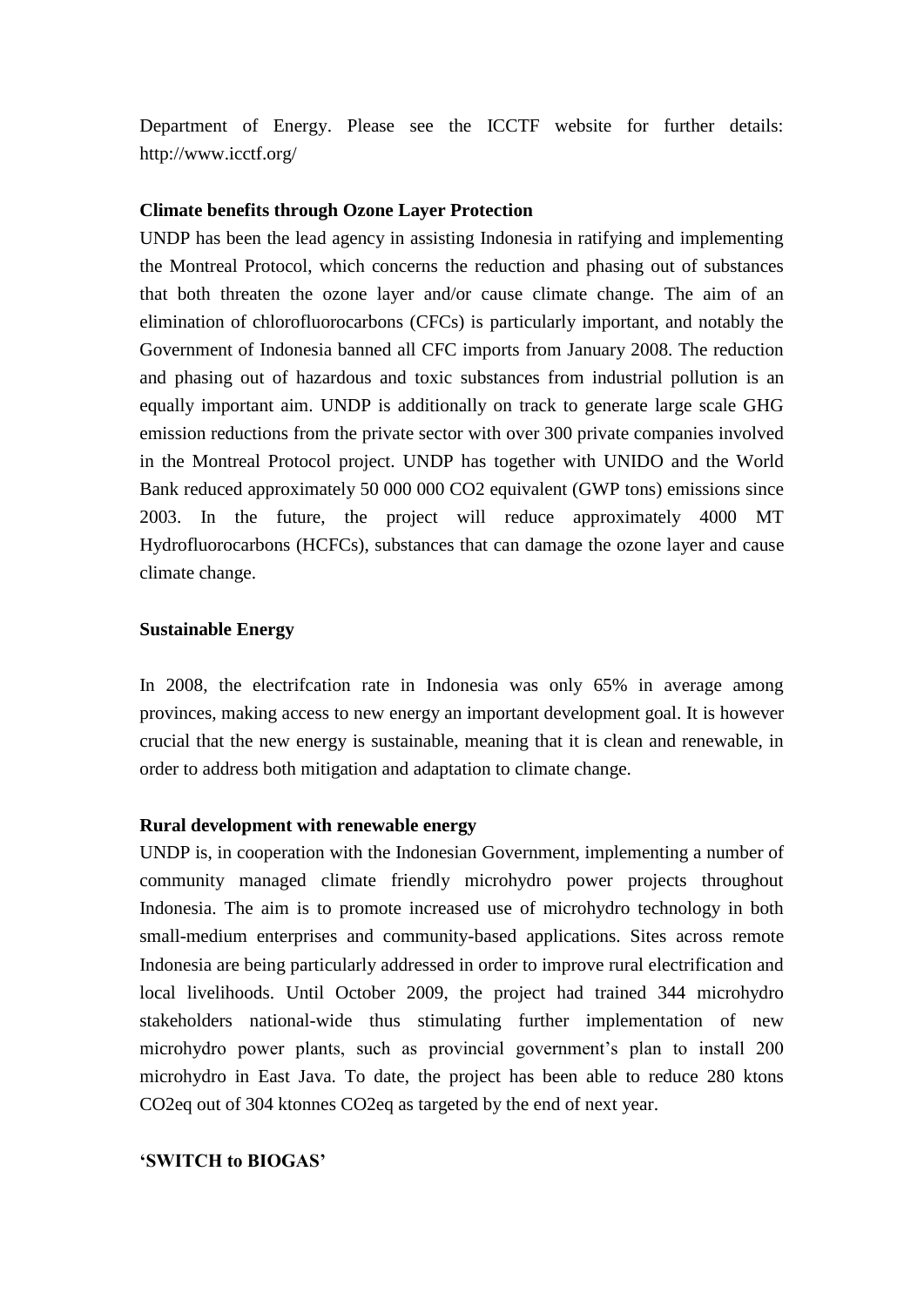Department of Energy. Please see the ICCTF website for further details: <http://www.icctf.org/>

### **Climate benefits through Ozone Layer Protection**

UNDP has been the lead agency in assisting Indonesia in ratifying and implementing the Montreal Protocol, which concerns the reduction and phasing out of substances that both threaten the ozone layer and/or cause climate change. The aim of an elimination of chlorofluorocarbons (CFCs) is particularly important, and notably the Government of Indonesia banned all CFC imports from January 2008. The reduction and phasing out of hazardous and toxic substances from industrial pollution is an equally important aim. UNDP is additionally on track to generate large scale GHG emission reductions from the private sector with over 300 private companies involved in the Montreal Protocol project. UNDP has together with UNIDO and the World Bank reduced approximately 50 000 000 CO2 equivalent (GWP tons) emissions since 2003. In the future, the project will reduce approximately 4000 MT Hydrofluorocarbons (HCFCs), substances that can damage the ozone layer and cause climate change.

### **[Sustainable Energy](http://www.undp.or.id/programme/environment/)**

[In 2008, the electrifcation rate in Indonesia was only 65% in average among](http://www.undp.or.id/programme/environment/)  [provinces, making access to new energy an important development goal. It](http://www.undp.or.id/programme/environment/) is however [crucial that the new energy is sustainable, meaning that it is clean and renewable, in](http://www.undp.or.id/programme/environment/)  [order to address both mitigation and adaptation to climate change.](http://www.undp.or.id/programme/environment/)

#### **Rural development with renewable energy**

UNDP is, in cooperation with the Indonesian Government, implementing a number of community managed climate friendly microhydro power projects throughout Indonesia. The aim is to promote increased use of microhydro technology in both small-medium enterprises and community-based applications. Sites across remote Indonesia are being particularly addressed in order to improve rural electrification and local livelihoods. Until October 2009, the project had trained 344 microhydro stakeholders national-wide thus stimulating further implementation of new microhydro power plants, such as provincial government's plan to install 200 microhydro in East Java. To date, the project has been able to reduce 280 ktons CO2eq out of 304 ktonnes CO2eq as targeted by the end of next year.

#### **'SWITCH to BIOGAS'**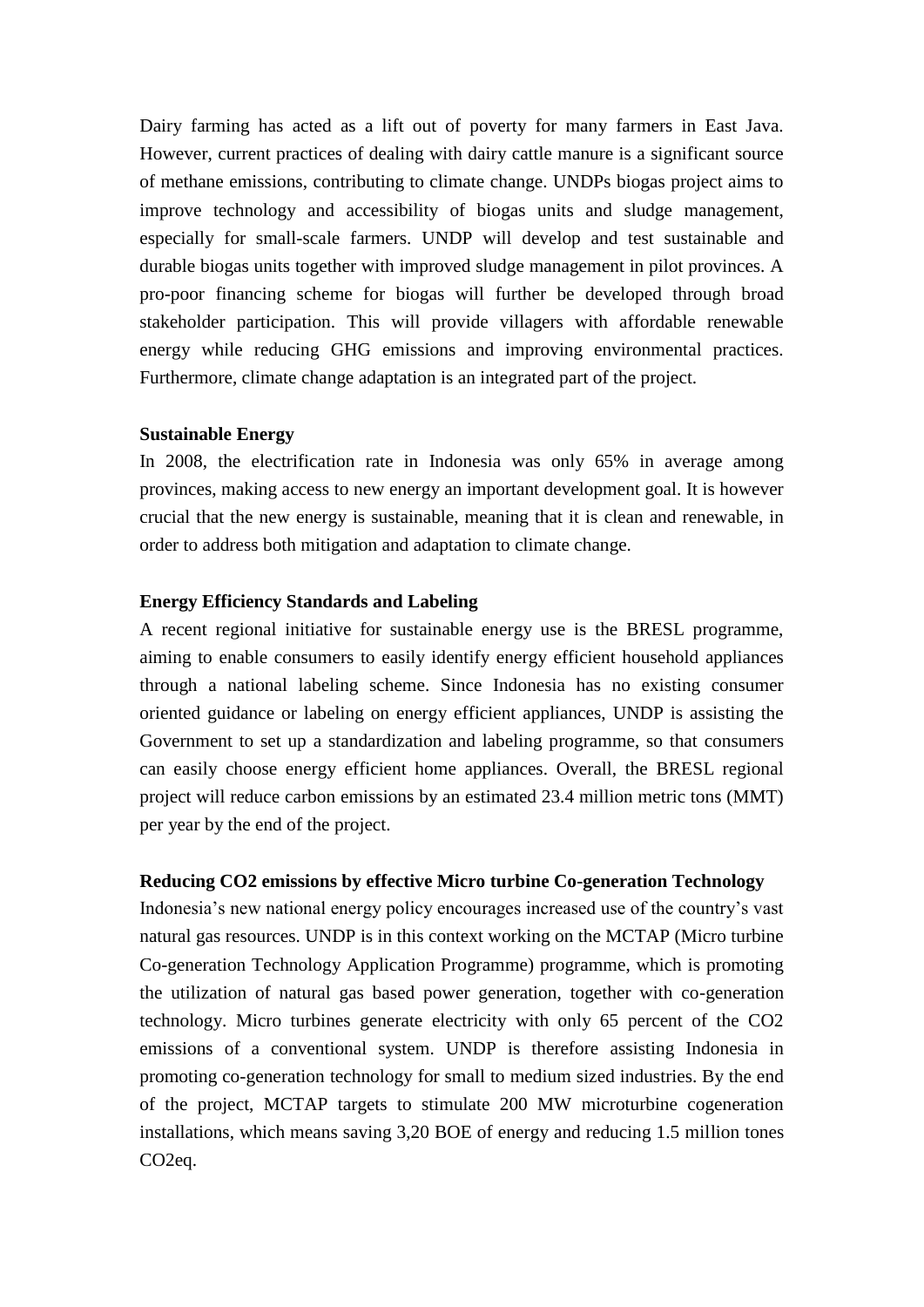Dairy farming has acted as a lift out of poverty for many farmers in East Java. However, current practices of dealing with dairy cattle manure is a significant source of methane emissions, contributing to climate change. UNDPs biogas project aims to improve technology and accessibility of biogas units and sludge management, especially for small-scale farmers. UNDP will develop and test sustainable and durable biogas units together with improved sludge management in pilot provinces. A pro-poor financing scheme for biogas will further be developed through broad stakeholder participation. This will provide villagers with affordable renewable energy while reducing GHG emissions and improving environmental practices. Furthermore, climate change adaptation is an integrated part of the project.

### **Sustainable Energy**

In 2008, the electrification rate in Indonesia was only 65% in average among provinces, making access to new energy an important development goal. It is however crucial that the new energy is sustainable, meaning that it is clean and renewable, in order to address both mitigation and adaptation to climate change.

### **Energy Efficiency Standards and Labeling**

A recent regional initiative for sustainable energy use is the BRESL programme, aiming to enable consumers to easily identify energy efficient household appliances through a national labeling scheme. Since Indonesia has no existing consumer oriented guidance or labeling on energy efficient appliances, UNDP is assisting the Government to set up a standardization and labeling programme, so that consumers can easily choose energy efficient home appliances. Overall, the BRESL regional project will reduce carbon emissions by an estimated 23.4 million metric tons (MMT) per year by the end of the project.

### **Reducing CO2 emissions by effective Micro turbine Co-generation Technology**

Indonesia"s new national energy policy encourages increased use of the country"s vast natural gas resources. UNDP is in this context working on the MCTAP (Micro turbine Co-generation Technology Application Programme) programme, which is promoting the utilization of natural gas based power generation, together with co-generation technology. Micro turbines generate electricity with only 65 percent of the CO2 emissions of a conventional system. UNDP is therefore assisting Indonesia in promoting co-generation technology for small to medium sized industries. By the end of the project, MCTAP targets to stimulate 200 MW microturbine cogeneration installations, which means saving 3,20 BOE of energy and reducing 1.5 million tones CO2eq.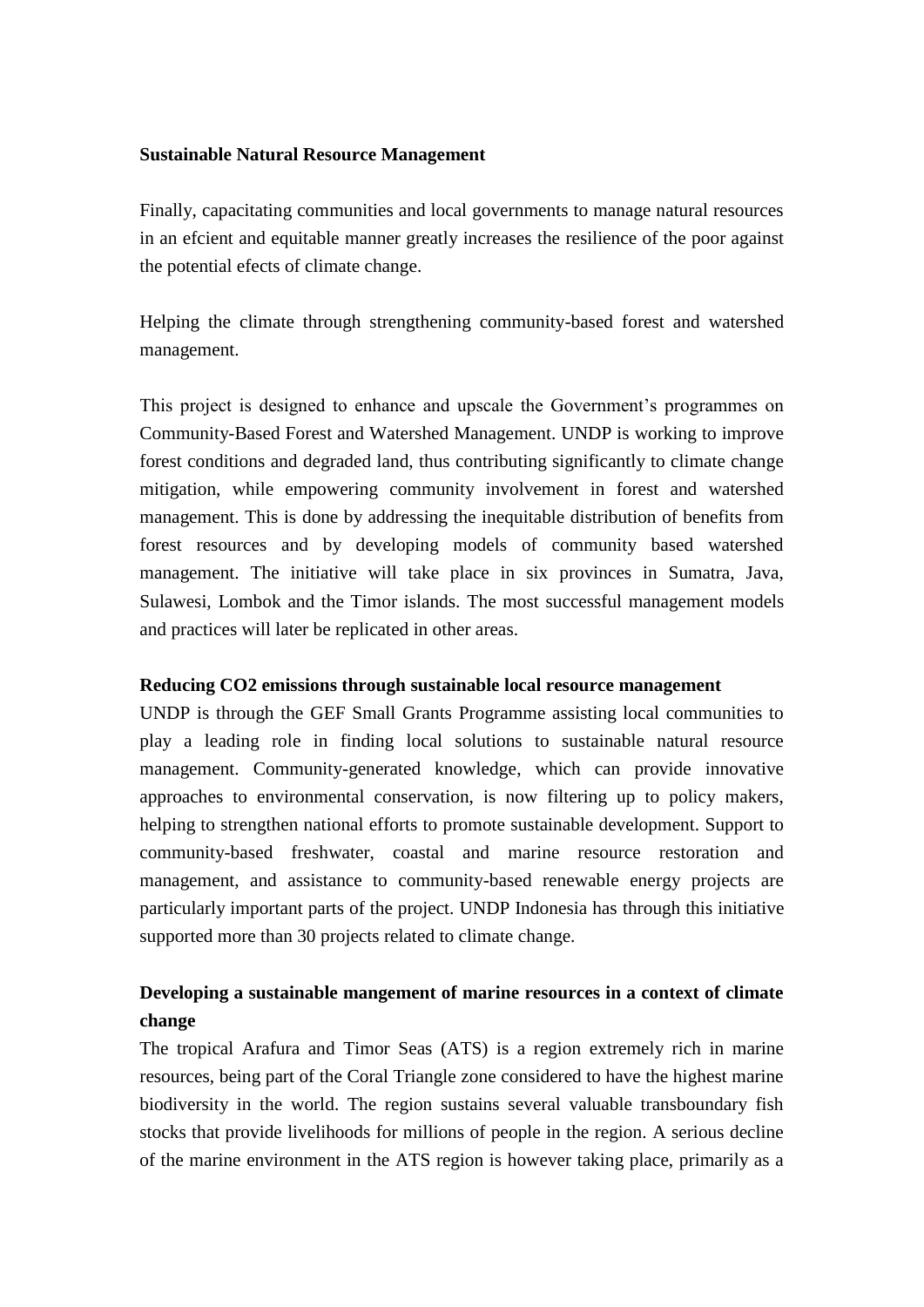### **[Sustainable Natural Resource Management](http://www.undp.or.id/programme/environment/)**

[Finally, capacitating communities and local governments to manage natural resources](http://www.undp.or.id/programme/environment/)  [in an efcient and equitable manner greatly increases the resilience of the poor against](http://www.undp.or.id/programme/environment/)  [the potential efects of climate change.](http://www.undp.or.id/programme/environment/)

Helping the climate through strengthening community-based forest and watershed management.

This project is designed to enhance and upscale the Government's programmes on Community-Based Forest and Watershed Management. UNDP is working to improve forest conditions and degraded land, thus contributing significantly to climate change mitigation, while empowering community involvement in forest and watershed management. This is done by addressing the inequitable distribution of benefits from forest resources and by developing models of community based watershed management. The initiative will take place in six provinces in Sumatra, Java, Sulawesi, Lombok and the Timor islands. The most successful management models and practices will later be replicated in other areas.

### **Reducing CO2 emissions through sustainable local resource management**

UNDP is through the GEF Small Grants Programme assisting local communities to play a leading role in finding local solutions to sustainable natural resource management. Community-generated knowledge, which can provide innovative approaches to environmental conservation, is now filtering up to policy makers, helping to strengthen national efforts to promote sustainable development. Support to community-based freshwater, coastal and marine resource restoration and management, and assistance to community-based renewable energy projects are particularly important parts of the project. UNDP Indonesia has through this initiative supported more than 30 projects related to climate change.

# **Developing a sustainable mangement of marine resources in a context of climate change**

The tropical Arafura and Timor Seas (ATS) is a region extremely rich in marine resources, being part of the Coral Triangle zone considered to have the highest marine biodiversity in the world. The region sustains several valuable transboundary fish stocks that provide livelihoods for millions of people in the region. A serious decline of the marine environment in the ATS region is however taking place, primarily as a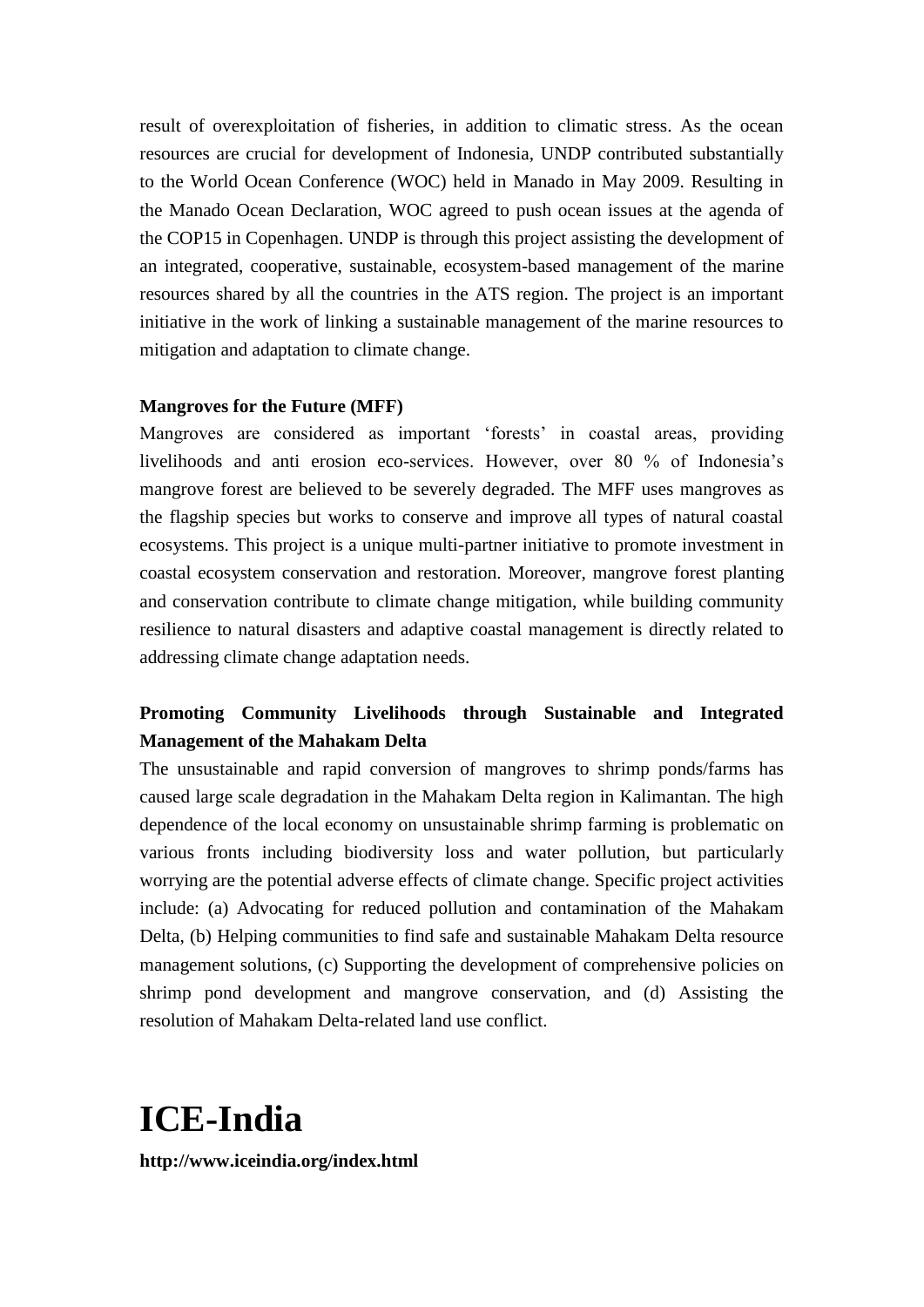result of overexploitation of fisheries, in addition to climatic stress. As the ocean resources are crucial for development of Indonesia, UNDP contributed substantially to the World Ocean Conference (WOC) held in Manado in May 2009. Resulting in the Manado Ocean Declaration, WOC agreed to push ocean issues at the agenda of the COP15 in Copenhagen. UNDP is through this project assisting the development of an integrated, cooperative, sustainable, ecosystem-based management of the marine resources shared by all the countries in the ATS region. The project is an important initiative in the work of linking a sustainable management of the marine resources to mitigation and adaptation to climate change.

### **Mangroves for the Future (MFF)**

Mangroves are considered as important 'forests' in coastal areas, providing livelihoods and anti erosion eco-services. However, over 80 % of Indonesia"s mangrove forest are believed to be severely degraded. The MFF uses mangroves as the flagship species but works to conserve and improve all types of natural coastal ecosystems. This project is a unique multi-partner initiative to promote investment in coastal ecosystem conservation and restoration. Moreover, mangrove forest planting and conservation contribute to climate change mitigation, while building community resilience to natural disasters and adaptive coastal management is directly related to addressing climate change adaptation needs.

# **Promoting Community Livelihoods through Sustainable and Integrated Management of the Mahakam Delta**

The unsustainable and rapid conversion of mangroves to shrimp ponds/farms has caused large scale degradation in the Mahakam Delta region in Kalimantan. The high dependence of the local economy on unsustainable shrimp farming is problematic on various fronts including biodiversity loss and water pollution, but particularly worrying are the potential adverse effects of climate change. Specific project activities include: (a) Advocating for reduced pollution and contamination of the Mahakam Delta, (b) Helping communities to find safe and sustainable Mahakam Delta resource management solutions, (c) Supporting the development of comprehensive policies on shrimp pond development and mangrove conservation, and (d) Assisting the resolution of Mahakam Delta-related land use conflict.

**ICE-India http://www.iceindia.org/index.html**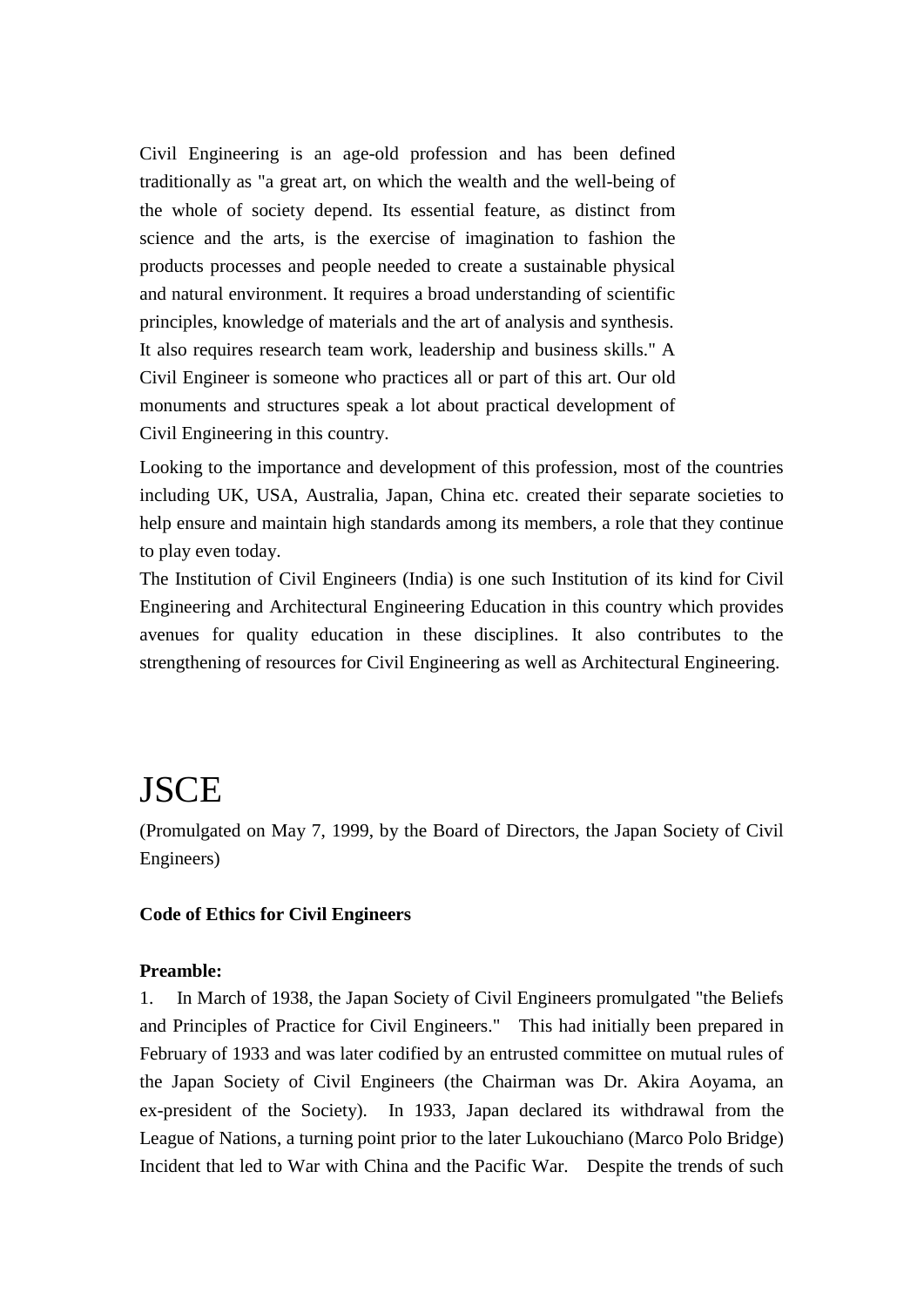Civil Engineering is an age-old profession and has been defined traditionally as "a great art, on which the wealth and the well-being of the whole of society depend. Its essential feature, as distinct from science and the arts, is the exercise of imagination to fashion the products processes and people needed to create a sustainable physical and natural environment. It requires a broad understanding of scientific principles, knowledge of materials and the art of analysis and synthesis. It also requires research team work, leadership and business skills." A Civil Engineer is someone who practices all or part of this art. Our old monuments and structures speak a lot about practical development of Civil Engineering in this country.

Looking to the importance and development of this profession, most of the countries including UK, USA, Australia, Japan, China etc. created their separate societies to help ensure and maintain high standards among its members, a role that they continue to play even today.

The Institution of Civil Engineers (India) is one such Institution of its kind for Civil Engineering and Architectural Engineering Education in this country which provides avenues for quality education in these disciplines. It also contributes to the strengthening of resources for Civil Engineering as well as Architectural Engineering.

# **JSCE**

(Promulgated on May 7, 1999, by the Board of Directors, the Japan Society of Civil Engineers)

### **Code of Ethics for Civil Engineers**

### **Preamble:**

1. In March of 1938, the Japan Society of Civil Engineers promulgated "the Beliefs and Principles of Practice for Civil Engineers." This had initially been prepared in February of 1933 and was later codified by an entrusted committee on mutual rules of the Japan Society of Civil Engineers (the Chairman was Dr. Akira Aoyama, an ex-president of the Society). In 1933, Japan declared its withdrawal from the League of Nations, a turning point prior to the later Lukouchiano (Marco Polo Bridge) Incident that led to War with China and the Pacific War. Despite the trends of such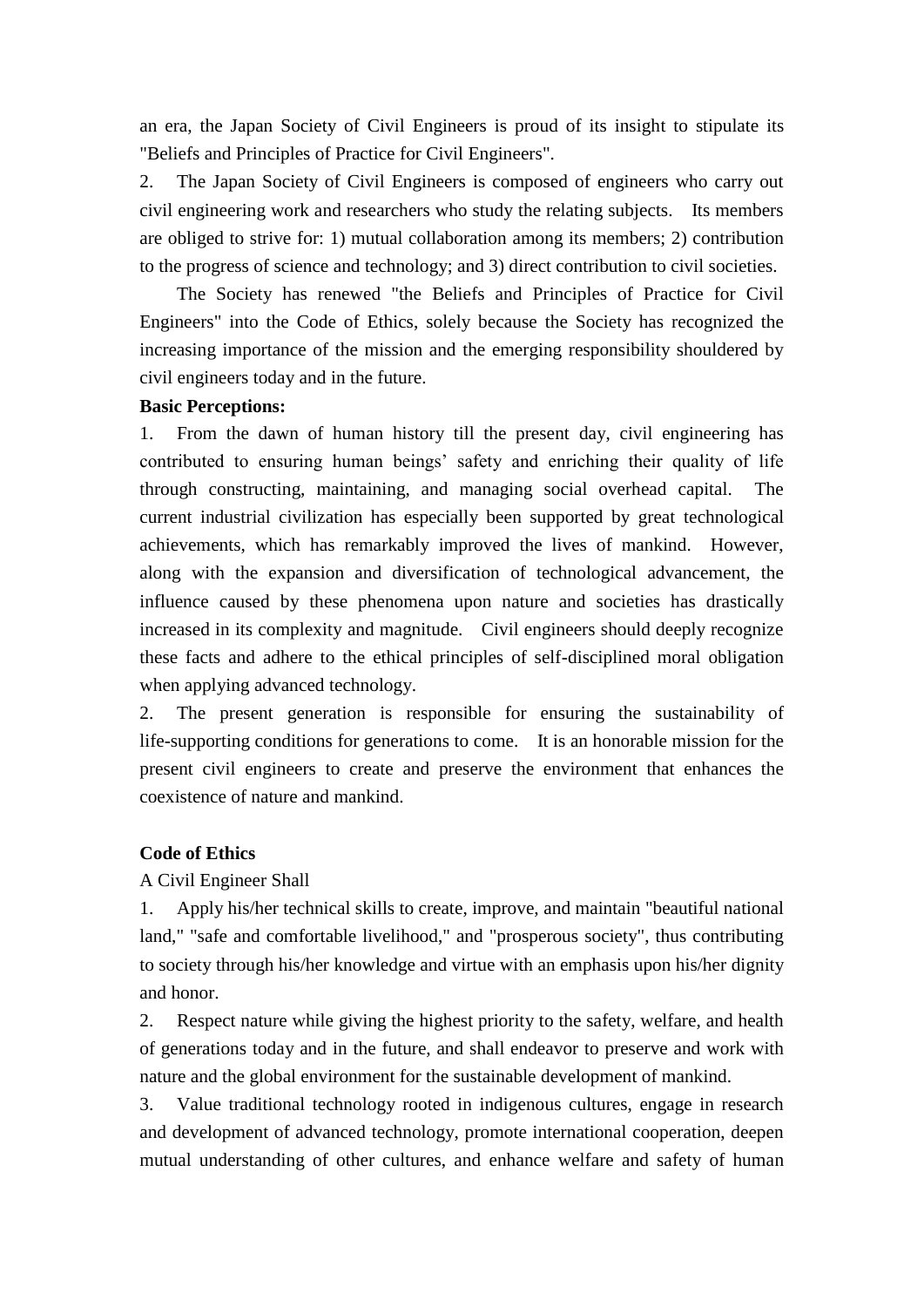an era, the Japan Society of Civil Engineers is proud of its insight to stipulate its "Beliefs and Principles of Practice for Civil Engineers".

2. The Japan Society of Civil Engineers is composed of engineers who carry out civil engineering work and researchers who study the relating subjects. Its members are obliged to strive for: 1) mutual collaboration among its members; 2) contribution to the progress of science and technology; and 3) direct contribution to civil societies.

The Society has renewed "the Beliefs and Principles of Practice for Civil Engineers" into the Code of Ethics, solely because the Society has recognized the increasing importance of the mission and the emerging responsibility shouldered by civil engineers today and in the future.

### **Basic Perceptions:**

1. From the dawn of human history till the present day, civil engineering has contributed to ensuring human beings' safety and enriching their quality of life through constructing, maintaining, and managing social overhead capital. The current industrial civilization has especially been supported by great technological achievements, which has remarkably improved the lives of mankind. However, along with the expansion and diversification of technological advancement, the influence caused by these phenomena upon nature and societies has drastically increased in its complexity and magnitude. Civil engineers should deeply recognize these facts and adhere to the ethical principles of self-disciplined moral obligation when applying advanced technology.

2. The present generation is responsible for ensuring the sustainability of life-supporting conditions for generations to come. It is an honorable mission for the present civil engineers to create and preserve the environment that enhances the coexistence of nature and mankind.

### **Code of Ethics**

A Civil Engineer Shall

1. Apply his/her technical skills to create, improve, and maintain "beautiful national land," "safe and comfortable livelihood," and "prosperous society", thus contributing to society through his/her knowledge and virtue with an emphasis upon his/her dignity and honor.

2. Respect nature while giving the highest priority to the safety, welfare, and health of generations today and in the future, and shall endeavor to preserve and work with nature and the global environment for the sustainable development of mankind.

3. Value traditional technology rooted in indigenous cultures, engage in research and development of advanced technology, promote international cooperation, deepen mutual understanding of other cultures, and enhance welfare and safety of human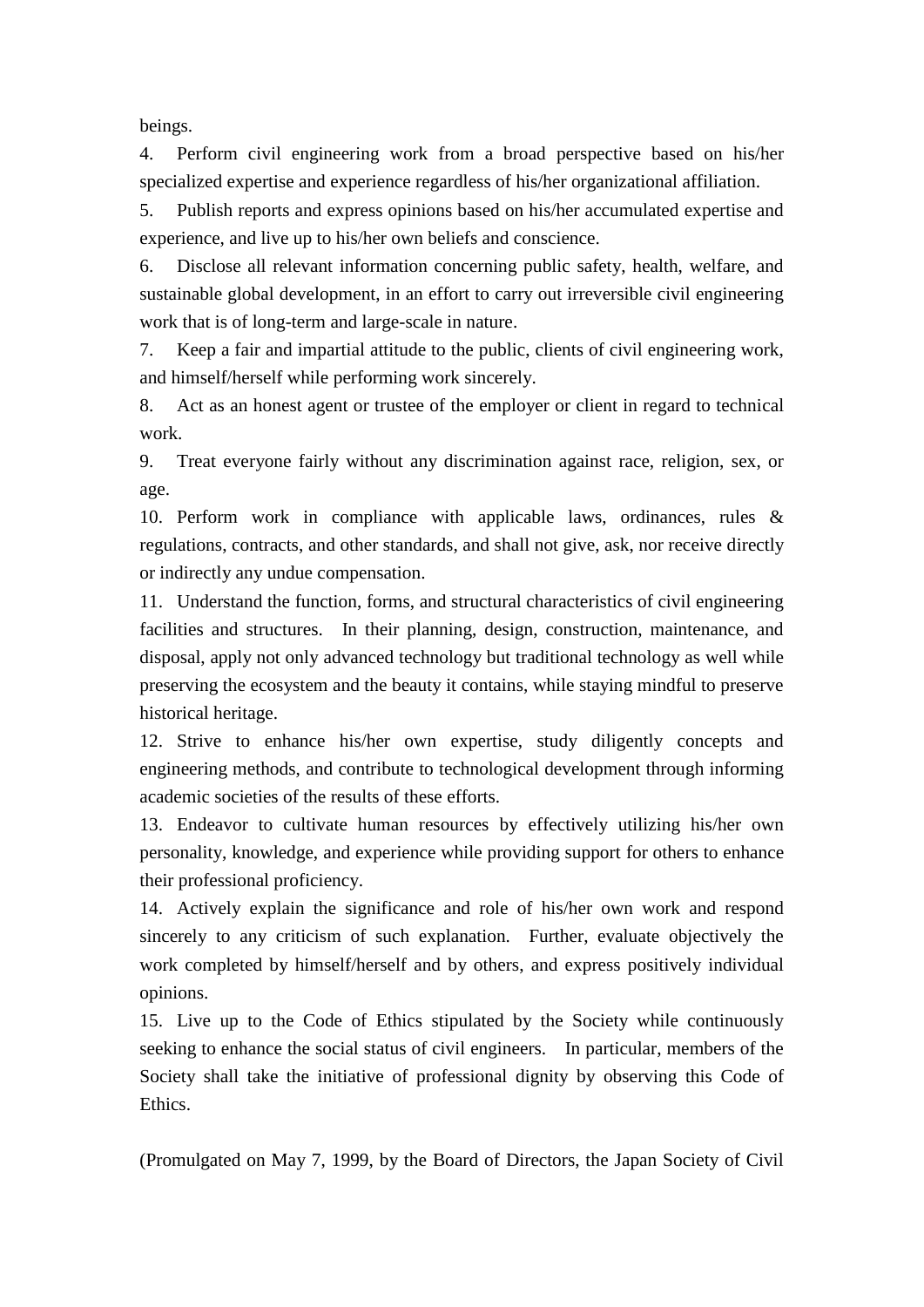beings.

4. Perform civil engineering work from a broad perspective based on his/her specialized expertise and experience regardless of his/her organizational affiliation.

5. Publish reports and express opinions based on his/her accumulated expertise and experience, and live up to his/her own beliefs and conscience.

6. Disclose all relevant information concerning public safety, health, welfare, and sustainable global development, in an effort to carry out irreversible civil engineering work that is of long-term and large-scale in nature.

7. Keep a fair and impartial attitude to the public, clients of civil engineering work, and himself/herself while performing work sincerely.

8. Act as an honest agent or trustee of the employer or client in regard to technical work.

9. Treat everyone fairly without any discrimination against race, religion, sex, or age.

10. Perform work in compliance with applicable laws, ordinances, rules & regulations, contracts, and other standards, and shall not give, ask, nor receive directly or indirectly any undue compensation.

11. Understand the function, forms, and structural characteristics of civil engineering facilities and structures. In their planning, design, construction, maintenance, and disposal, apply not only advanced technology but traditional technology as well while preserving the ecosystem and the beauty it contains, while staying mindful to preserve historical heritage.

12. Strive to enhance his/her own expertise, study diligently concepts and engineering methods, and contribute to technological development through informing academic societies of the results of these efforts.

13. Endeavor to cultivate human resources by effectively utilizing his/her own personality, knowledge, and experience while providing support for others to enhance their professional proficiency.

14. Actively explain the significance and role of his/her own work and respond sincerely to any criticism of such explanation. Further, evaluate objectively the work completed by himself/herself and by others, and express positively individual opinions.

15. Live up to the Code of Ethics stipulated by the Society while continuously seeking to enhance the social status of civil engineers. In particular, members of the Society shall take the initiative of professional dignity by observing this Code of Ethics.

(Promulgated on May 7, 1999, by the Board of Directors, the Japan Society of Civil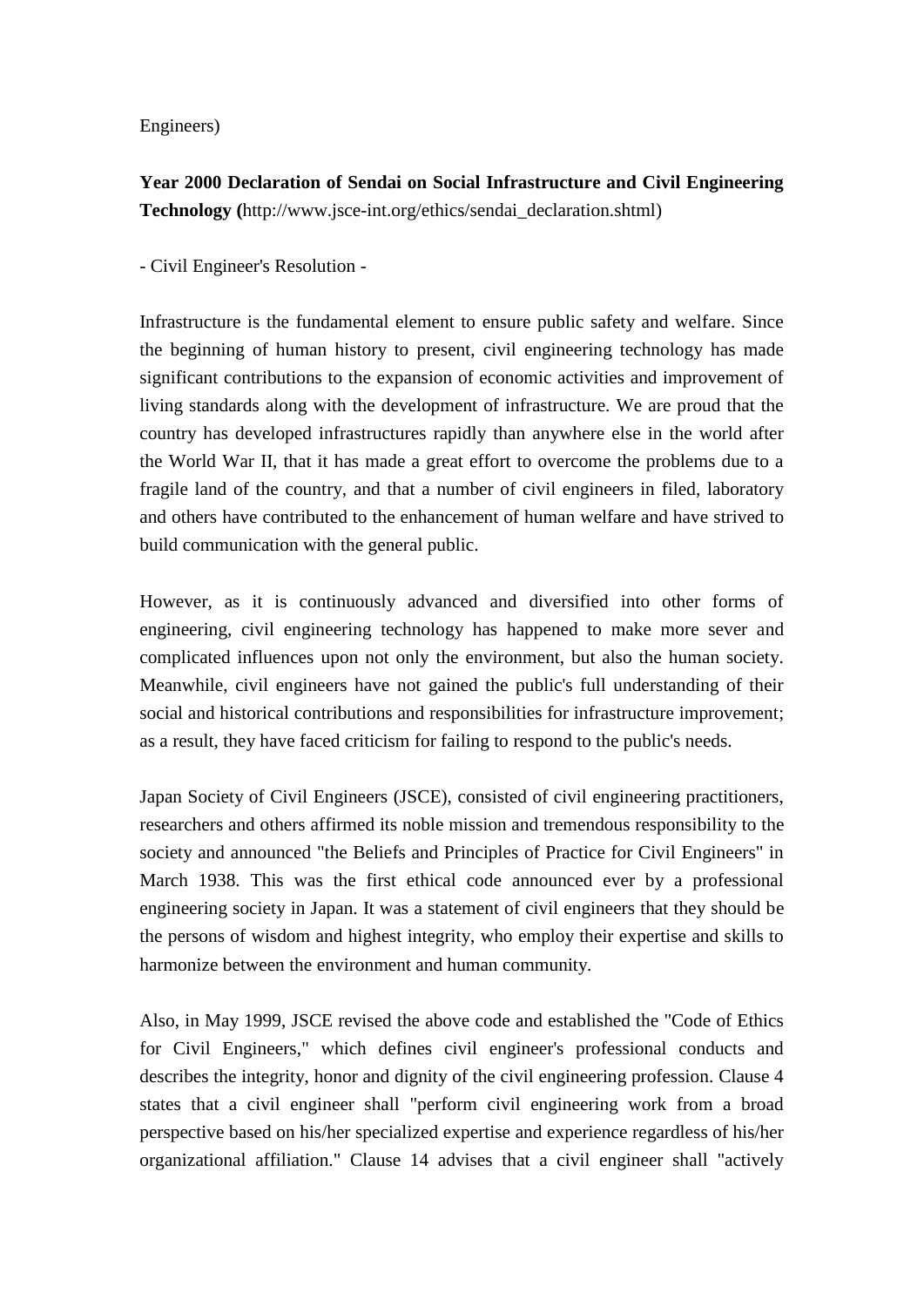### Engineers)

**Year 2000 Declaration of Sendai on Social Infrastructure and Civil Engineering Technology (**[http://www.jsce-int.org/ethics/sendai\\_declaration.shtml\)](http://www.jsce-int.org/ethics/sendai_declaration.shtml)

- Civil Engineer's Resolution -

Infrastructure is the fundamental element to ensure public safety and welfare. Since the beginning of human history to present, civil engineering technology has made significant contributions to the expansion of economic activities and improvement of living standards along with the development of infrastructure. We are proud that the country has developed infrastructures rapidly than anywhere else in the world after the World War II, that it has made a great effort to overcome the problems due to a fragile land of the country, and that a number of civil engineers in filed, laboratory and others have contributed to the enhancement of human welfare and have strived to build communication with the general public.

However, as it is continuously advanced and diversified into other forms of engineering, civil engineering technology has happened to make more sever and complicated influences upon not only the environment, but also the human society. Meanwhile, civil engineers have not gained the public's full understanding of their social and historical contributions and responsibilities for infrastructure improvement; as a result, they have faced criticism for failing to respond to the public's needs.

Japan Society of Civil Engineers (JSCE), consisted of civil engineering practitioners, researchers and others affirmed its noble mission and tremendous responsibility to the society and announced "the Beliefs and Principles of Practice for Civil Engineers" in March 1938. This was the first ethical code announced ever by a professional engineering society in Japan. It was a statement of civil engineers that they should be the persons of wisdom and highest integrity, who employ their expertise and skills to harmonize between the environment and human community.

Also, in May 1999, JSCE revised the above code and established the "Code of Ethics for Civil Engineers," which defines civil engineer's professional conducts and describes the integrity, honor and dignity of the civil engineering profession. Clause 4 states that a civil engineer shall "perform civil engineering work from a broad perspective based on his/her specialized expertise and experience regardless of his/her organizational affiliation." Clause 14 advises that a civil engineer shall "actively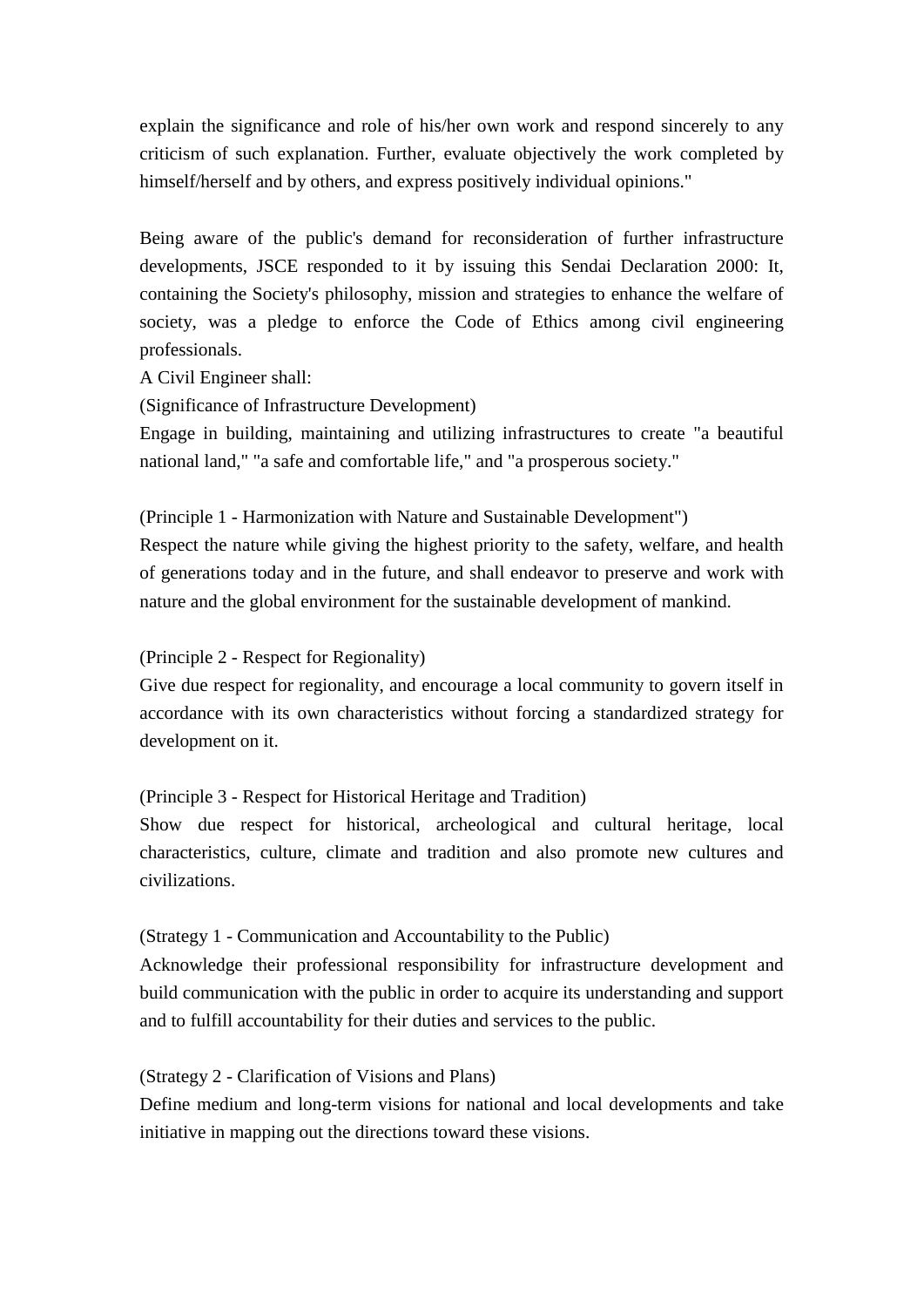explain the significance and role of his/her own work and respond sincerely to any criticism of such explanation. Further, evaluate objectively the work completed by himself/herself and by others, and express positively individual opinions."

Being aware of the public's demand for reconsideration of further infrastructure developments, JSCE responded to it by issuing this Sendai Declaration 2000: It, containing the Society's philosophy, mission and strategies to enhance the welfare of society, was a pledge to enforce the Code of Ethics among civil engineering professionals.

A Civil Engineer shall:

(Significance of Infrastructure Development)

Engage in building, maintaining and utilizing infrastructures to create "a beautiful national land," "a safe and comfortable life," and "a prosperous society."

(Principle 1 - Harmonization with Nature and Sustainable Development") Respect the nature while giving the highest priority to the safety, welfare, and health of generations today and in the future, and shall endeavor to preserve and work with nature and the global environment for the sustainable development of mankind.

# (Principle 2 - Respect for Regionality)

Give due respect for regionality, and encourage a local community to govern itself in accordance with its own characteristics without forcing a standardized strategy for development on it.

# (Principle 3 - Respect for Historical Heritage and Tradition)

Show due respect for historical, archeological and cultural heritage, local characteristics, culture, climate and tradition and also promote new cultures and civilizations.

# (Strategy 1 - Communication and Accountability to the Public)

Acknowledge their professional responsibility for infrastructure development and build communication with the public in order to acquire its understanding and support and to fulfill accountability for their duties and services to the public.

### (Strategy 2 - Clarification of Visions and Plans)

Define medium and long-term visions for national and local developments and take initiative in mapping out the directions toward these visions.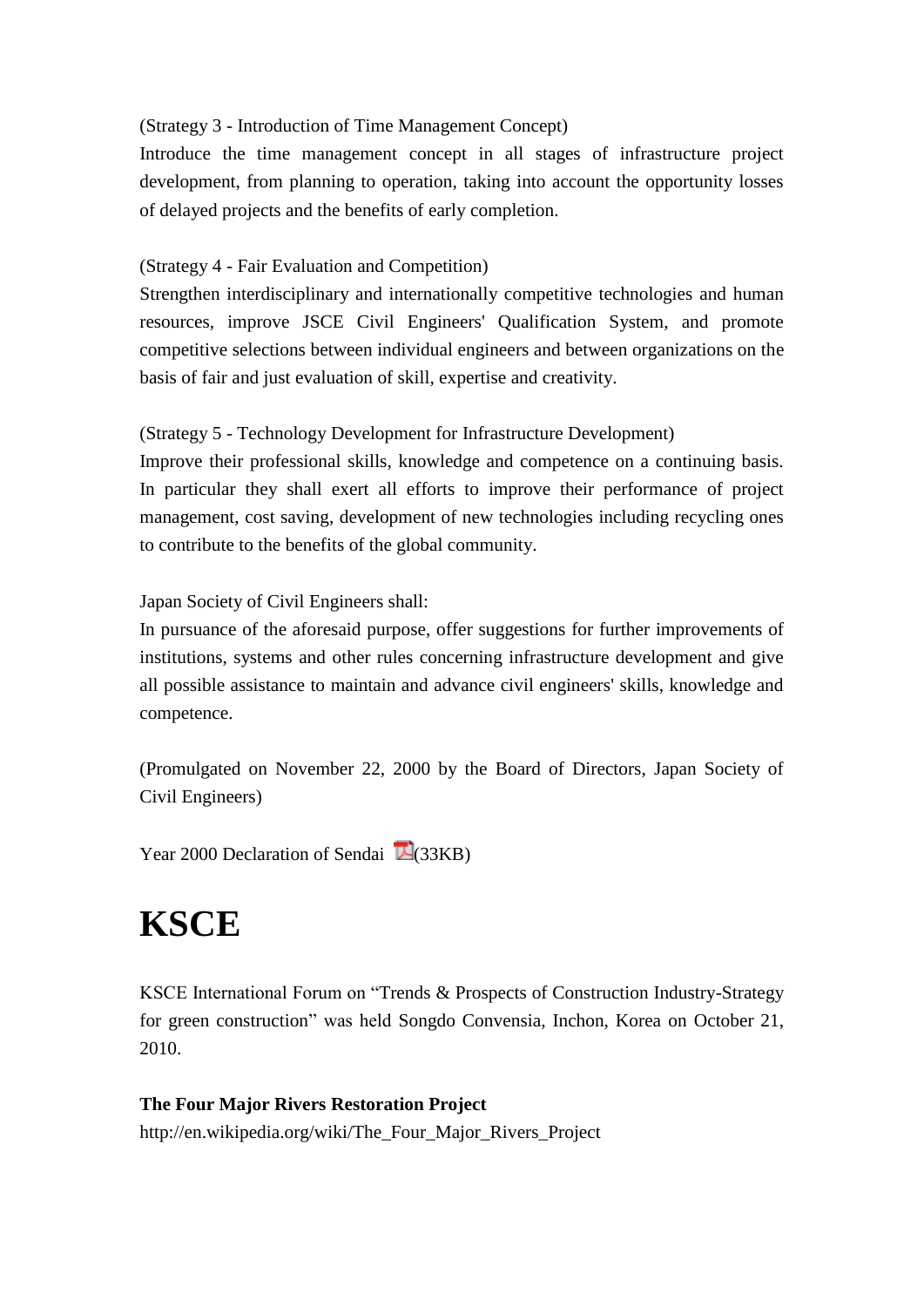# (Strategy 3 - Introduction of Time Management Concept)

Introduce the time management concept in all stages of infrastructure project development, from planning to operation, taking into account the opportunity losses of delayed projects and the benefits of early completion.

### (Strategy 4 - Fair Evaluation and Competition)

Strengthen interdisciplinary and internationally competitive technologies and human resources, improve JSCE Civil Engineers' Qualification System, and promote competitive selections between individual engineers and between organizations on the basis of fair and just evaluation of skill, expertise and creativity.

(Strategy 5 - Technology Development for Infrastructure Development)

Improve their professional skills, knowledge and competence on a continuing basis. In particular they shall exert all efforts to improve their performance of project management, cost saving, development of new technologies including recycling ones to contribute to the benefits of the global community.

Japan Society of Civil Engineers shall:

In pursuance of the aforesaid purpose, offer suggestions for further improvements of institutions, systems and other rules concerning infrastructure development and give all possible assistance to maintain and advance civil engineers' skills, knowledge and competence.

(Promulgated on November 22, 2000 by the Board of Directors, Japan Society of Civil Engineers)

Year 2000 Declaration of Sendai  $\mathbb{Z}(33KB)$ 

# **KSCE**

KSCE International Forum on "Trends & Prospects of Construction Industry-Strategy for green construction" was held Songdo Convensia, Inchon, Korea on October 21, 2010.

**The Four Major Rivers Restoration Project** [http://en.wikipedia.org/wiki/The\\_Four\\_Major\\_Rivers\\_Project](http://en.wikipedia.org/wiki/The_Four_Major_Rivers_Project)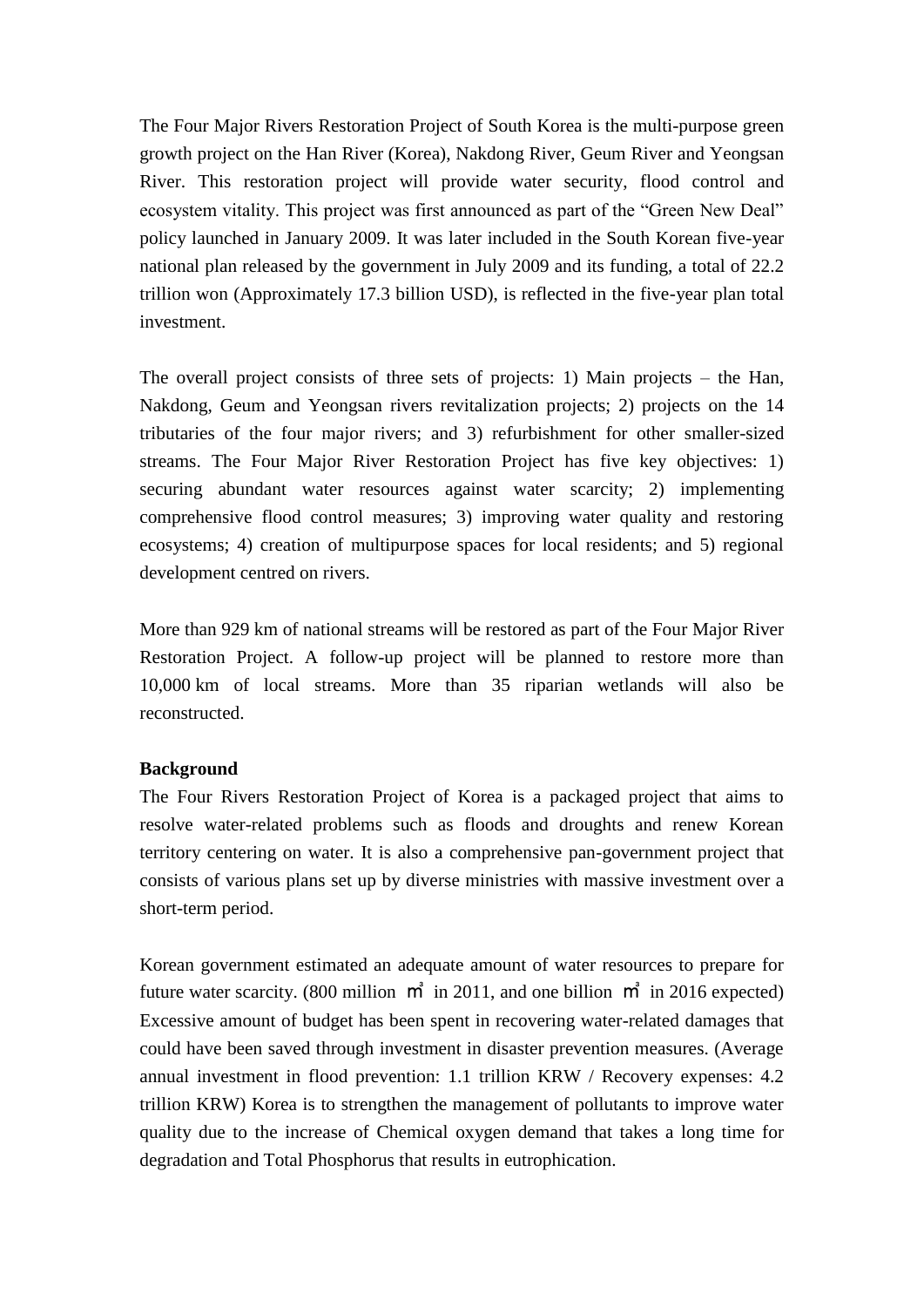The Four Major Rivers Restoration Project of [South Korea](http://en.wikipedia.org/wiki/South_Korea) is the multi-purpose green growth project on the [Han River \(Korea\),](http://en.wikipedia.org/wiki/Han_River_(Korea)) [Nakdong River,](http://en.wikipedia.org/wiki/Nakdong_River) [Geum River](http://en.wikipedia.org/wiki/Geum_River) and [Yeongsan](http://en.wikipedia.org/wiki/Yeongsan_River)  [River.](http://en.wikipedia.org/wiki/Yeongsan_River) This restoration project will provide water security, flood control and ecosystem vitality. This project was first announced as part of the "Green New Deal" policy launched in January 2009. It was later included in the South Korean five-year national plan released by the government in July 2009 and its funding, a total of 22.2 trillion won (Approximately 17.3 billion USD), is reflected in the five-year plan total investment.

The overall project consists of three sets of projects: 1) Main projects – the Han, Nakdong, Geum and Yeongsan rivers revitalization projects; 2) projects on the 14 tributaries of the four major rivers; and 3) refurbishment for other smaller-sized streams. The Four Major River Restoration Project has five key objectives: 1) securing abundant water resources against water scarcity; 2) implementing comprehensive flood control measures; 3) improving water quality and restoring ecosystems; 4) creation of multipurpose spaces for local residents; and 5) regional development centred on rivers.

More than 929 km of national streams will be restored as part of the Four Major River Restoration Project. A follow-up project will be planned to restore more than 10,000 km of local streams. More than 35 riparian wetlands will also be reconstructed.

### **Background**

The Four Rivers Restoration Project of Korea is a packaged project that aims to resolve water-related problems such as floods and droughts and renew Korean territory centering on water. It is also a comprehensive pan-government project that consists of various plans set up by diverse ministries with massive investment over a short-term period.

Korean government estimated an adequate amount of water resources to prepare for future water scarcity. (800 million  $\vec{m}$  in 2011, and one billion  $\vec{m}$  in 2016 expected) Excessive amount of budget has been spent in recovering water-related damages that could have been saved through investment in disaster prevention measures. (Average annual investment in flood prevention: 1.1 trillion KRW / Recovery expenses: 4.2 trillion KRW) Korea is to strengthen the management of pollutants to improve water quality due to the increase of [Chemical oxygen demand](http://en.wikipedia.org/wiki/Chemical_oxygen_demand) that takes a long time for degradation and Total Phosphorus that results in [eutrophication.](http://en.wikipedia.org/wiki/Eutrophication)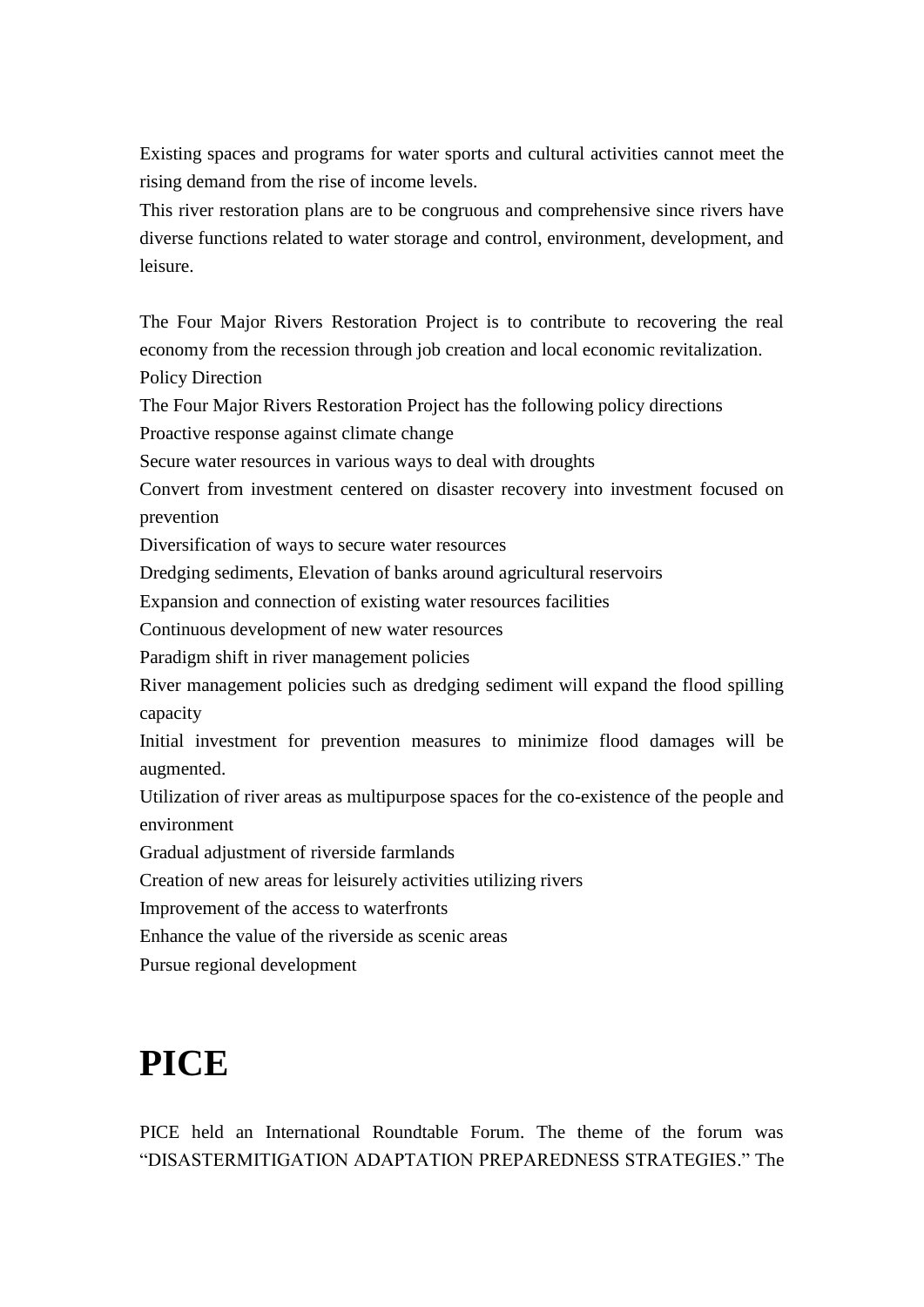Existing spaces and programs for water sports and cultural activities cannot meet the rising demand from the rise of income levels.

This river restoration plans are to be congruous and comprehensive since rivers have diverse functions related to water storage and control, environment, development, and leisure.

The Four Major Rivers Restoration Project is to contribute to recovering the real economy from the recession through job creation and local economic revitalization. Policy Direction

The Four Major Rivers Restoration Project has the following policy directions

Proactive response against climate change

Secure water resources in various ways to deal with droughts

Convert from investment centered on disaster recovery into investment focused on prevention

Diversification of ways to secure water resources

[Dredging](http://en.wikipedia.org/wiki/Dredging) sediments, Elevation of banks around agricultural reservoirs

Expansion and connection of existing water resources facilities

Continuous development of new water resources

Paradigm shift in river management policies

River management policies such as dredging sediment will expand the flood spilling capacity

Initial investment for prevention measures to minimize flood damages will be augmented.

Utilization of river areas as multipurpose spaces for the co-existence of the people and environment

Gradual adjustment of riverside farmlands

Creation of new areas for leisurely activities utilizing rivers

Improvement of the access to waterfronts

Enhance the value of the riverside as scenic areas

Pursue regional development

# **PICE**

PICE held an International Roundtable Forum. The theme of the forum was "DISASTERMITIGATION ADAPTATION PREPAREDNESS STRATEGIES." The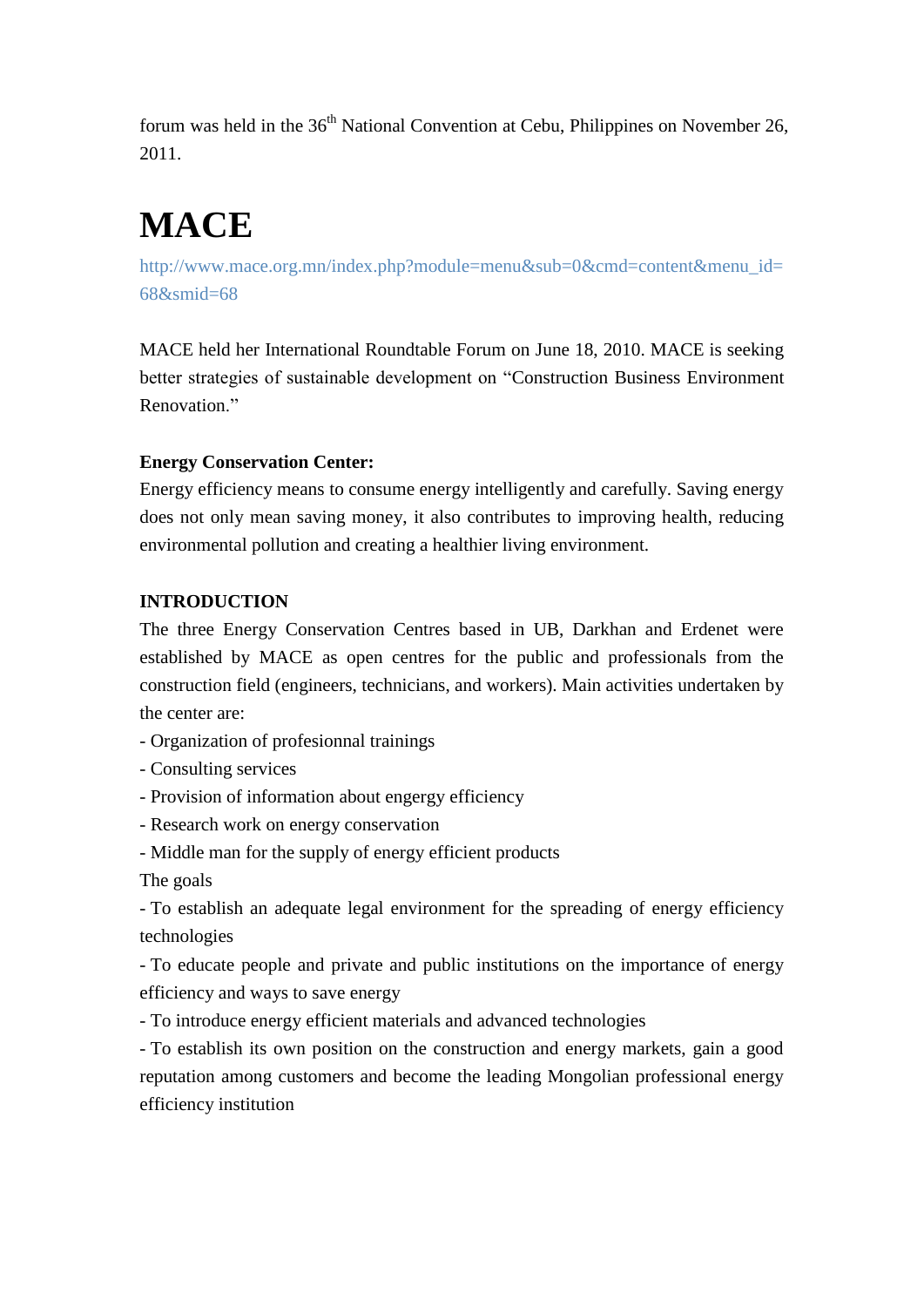forum was held in the  $36<sup>th</sup>$  National Convention at Cebu, Philippines on November 26, 2011.

# **MACE**

[http://www.mace.org.mn/index.php?module=menu&sub=0&cmd=content&menu\\_id=](http://www.mace.org.mn/index.php?module=menu&sub=0&cmd=content&menu_id=68&smid=68) [68&smid=68](http://www.mace.org.mn/index.php?module=menu&sub=0&cmd=content&menu_id=68&smid=68)

MACE held her International Roundtable Forum on June 18, 2010. MACE is seeking better strategies of sustainable development on "Construction Business Environment Renovation<sup>"</sup>

# **Energy Conservation Center:**

Energy efficiency means to consume energy intelligently and carefully. Saving energy does not only mean saving money, it also contributes to improving health, reducing environmental pollution and creating a healthier living environment.

# **INTRODUCTION**

The three Energy Conservation Centres based in UB, Darkhan and Erdenet were established by MACE as open centres for the public and professionals from the construction field (engineers, technicians, and workers). Main activities undertaken by the center are:

- Organization of profesionnal trainings
- Consulting services
- Provision of information about engergy efficiency
- Research work on energy conservation
- Middle man for the supply of energy efficient products

The goals

- To establish an adequate legal environment for the spreading of energy efficiency technologies

- To educate people and private and public institutions on the importance of energy efficiency and ways to save energy

- To introduce energy efficient materials and advanced technologies

- To establish its own position on the construction and energy markets, gain a good reputation among customers and become the leading Mongolian professional energy efficiency institution